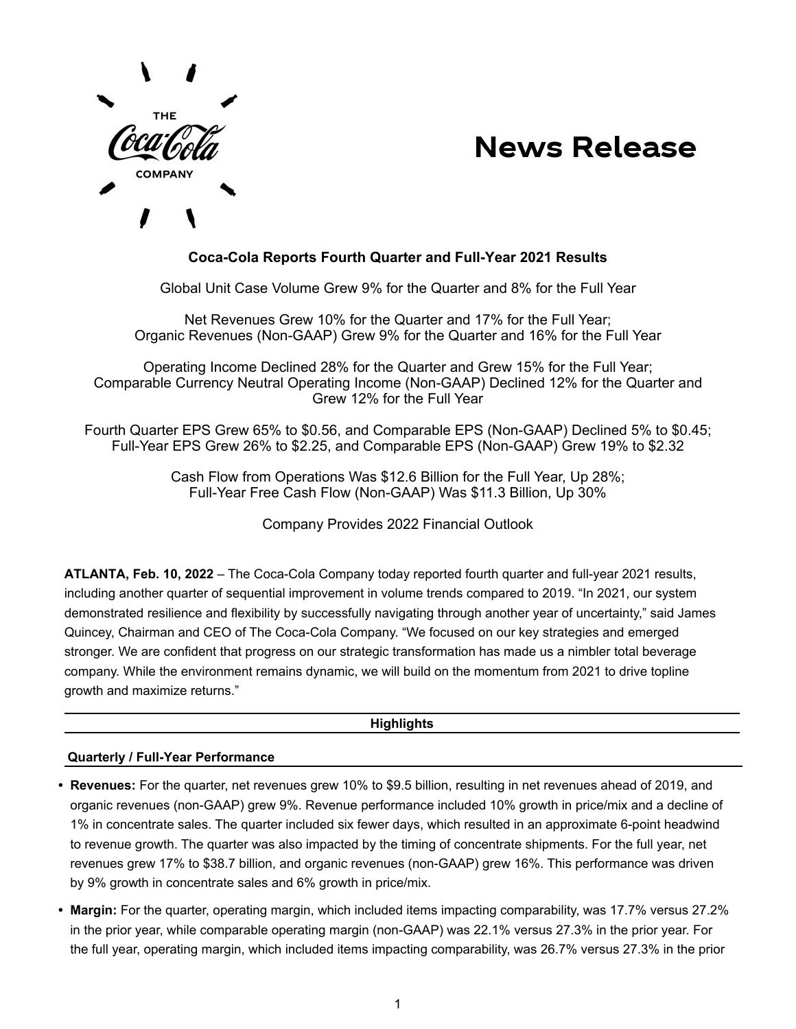

# **News Release**

### **Coca-Cola Reports Fourth Quarter and Full-Year 2021 Results**

Global Unit Case Volume Grew 9% for the Quarter and 8% for the Full Year

Net Revenues Grew 10% for the Quarter and 17% for the Full Year; Organic Revenues (Non-GAAP) Grew 9% for the Quarter and 16% for the Full Year

Operating Income Declined 28% for the Quarter and Grew 15% for the Full Year; Comparable Currency Neutral Operating Income (Non-GAAP) Declined 12% for the Quarter and Grew 12% for the Full Year

Fourth Quarter EPS Grew 65% to \$0.56, and Comparable EPS (Non-GAAP) Declined 5% to \$0.45; Full-Year EPS Grew 26% to \$2.25, and Comparable EPS (Non-GAAP) Grew 19% to \$2.32

> Cash Flow from Operations Was \$12.6 Billion for the Full Year, Up 28%; Full-Year Free Cash Flow (Non-GAAP) Was \$11.3 Billion, Up 30%

> > Company Provides 2022 Financial Outlook

**ATLANTA, Feb. 10, 2022** – The Coca-Cola Company today reported fourth quarter and full-year 2021 results, including another quarter of sequential improvement in volume trends compared to 2019. "In 2021, our system demonstrated resilience and flexibility by successfully navigating through another year of uncertainty," said James Quincey, Chairman and CEO of The Coca-Cola Company. "We focused on our key strategies and emerged stronger. We are confident that progress on our strategic transformation has made us a nimbler total beverage company. While the environment remains dynamic, we will build on the momentum from 2021 to drive topline growth and maximize returns."

### **Highlights**

### **Quarterly / Full-Year Performance**

- **• Revenues:** For the quarter, net revenues grew 10% to \$9.5 billion, resulting in net revenues ahead of 2019, and organic revenues (non-GAAP) grew 9%. Revenue performance included 10% growth in price/mix and a decline of 1% in concentrate sales. The quarter included six fewer days, which resulted in an approximate 6-point headwind to revenue growth. The quarter was also impacted by the timing of concentrate shipments. For the full year, net revenues grew 17% to \$38.7 billion, and organic revenues (non-GAAP) grew 16%. This performance was driven by 9% growth in concentrate sales and 6% growth in price/mix.
- **• Margin:** For the quarter, operating margin, which included items impacting comparability, was 17.7% versus 27.2% in the prior year, while comparable operating margin (non-GAAP) was 22.1% versus 27.3% in the prior year. For the full year, operating margin, which included items impacting comparability, was 26.7% versus 27.3% in the prior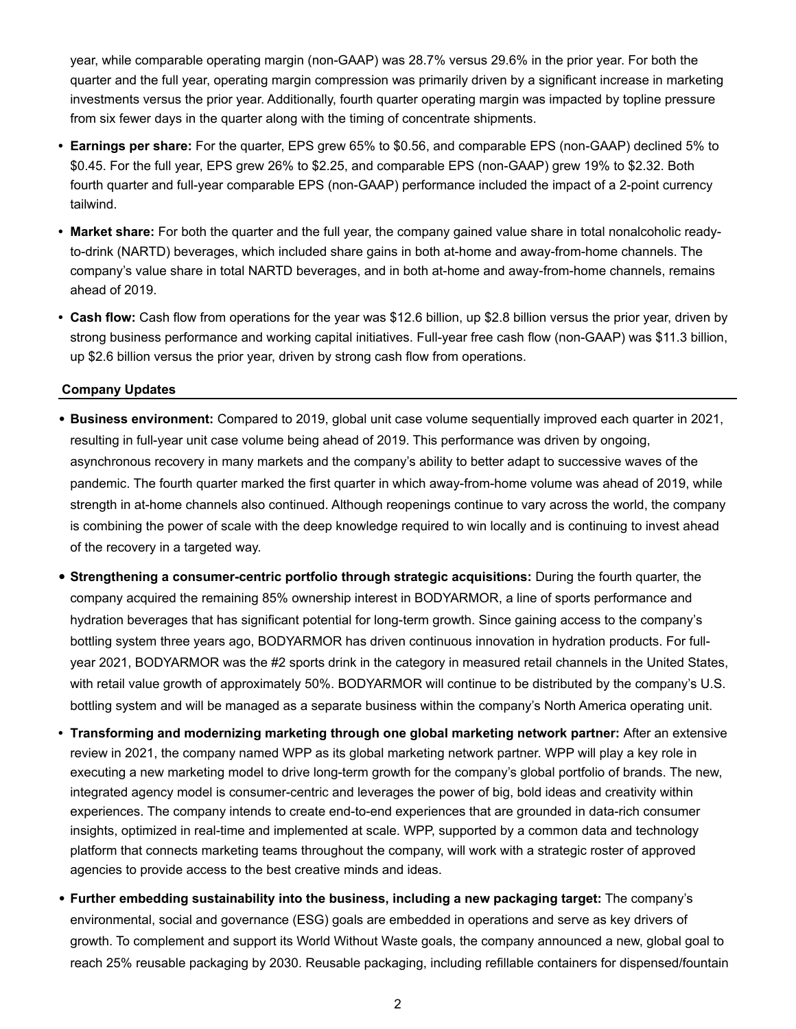year, while comparable operating margin (non-GAAP) was 28.7% versus 29.6% in the prior year. For both the quarter and the full year, operating margin compression was primarily driven by a significant increase in marketing investments versus the prior year. Additionally, fourth quarter operating margin was impacted by topline pressure from six fewer days in the quarter along with the timing of concentrate shipments.

- **• Earnings per share:** For the quarter, EPS grew 65% to \$0.56, and comparable EPS (non-GAAP) declined 5% to \$0.45. For the full year, EPS grew 26% to \$2.25, and comparable EPS (non-GAAP) grew 19% to \$2.32. Both fourth quarter and full-year comparable EPS (non-GAAP) performance included the impact of a 2-point currency tailwind.
- **• Market share:** For both the quarter and the full year, the company gained value share in total nonalcoholic readyto-drink (NARTD) beverages, which included share gains in both at-home and away-from-home channels. The company's value share in total NARTD beverages, and in both at-home and away-from-home channels, remains ahead of 2019.
- **• Cash flow:** Cash flow from operations for the year was \$12.6 billion, up \$2.8 billion versus the prior year, driven by strong business performance and working capital initiatives. Full-year free cash flow (non-GAAP) was \$11.3 billion, up \$2.6 billion versus the prior year, driven by strong cash flow from operations.

### **Company Updates**

- **Business environment:** Compared to 2019, global unit case volume sequentially improved each quarter in 2021, resulting in full-year unit case volume being ahead of 2019. This performance was driven by ongoing, asynchronous recovery in many markets and the company's ability to better adapt to successive waves of the pandemic. The fourth quarter marked the first quarter in which away-from-home volume was ahead of 2019, while strength in at-home channels also continued. Although reopenings continue to vary across the world, the company is combining the power of scale with the deep knowledge required to win locally and is continuing to invest ahead of the recovery in a targeted way.
- **• Strengthening a consumer-centric portfolio through strategic acquisitions:** During the fourth quarter, the company acquired the remaining 85% ownership interest in BODYARMOR, a line of sports performance and hydration beverages that has significant potential for long-term growth. Since gaining access to the company's bottling system three years ago, BODYARMOR has driven continuous innovation in hydration products. For fullyear 2021, BODYARMOR was the #2 sports drink in the category in measured retail channels in the United States, with retail value growth of approximately 50%. BODYARMOR will continue to be distributed by the company's U.S. bottling system and will be managed as a separate business within the company's North America operating unit.
- **• Transforming and modernizing marketing through one global marketing network partner:** After an extensive review in 2021, the company named WPP as its global marketing network partner. WPP will play a key role in executing a new marketing model to drive long-term growth for the company's global portfolio of brands. The new, integrated agency model is consumer-centric and leverages the power of big, bold ideas and creativity within experiences. The company intends to create end-to-end experiences that are grounded in data-rich consumer insights, optimized in real-time and implemented at scale. WPP, supported by a common data and technology platform that connects marketing teams throughout the company, will work with a strategic roster of approved agencies to provide access to the best creative minds and ideas.
- **Further embedding sustainability into the business, including a new packaging target:** The company's environmental, social and governance (ESG) goals are embedded in operations and serve as key drivers of growth. To complement and support its World Without Waste goals, the company announced a new, global goal to reach 25% reusable packaging by 2030. Reusable packaging, including refillable containers for dispensed/fountain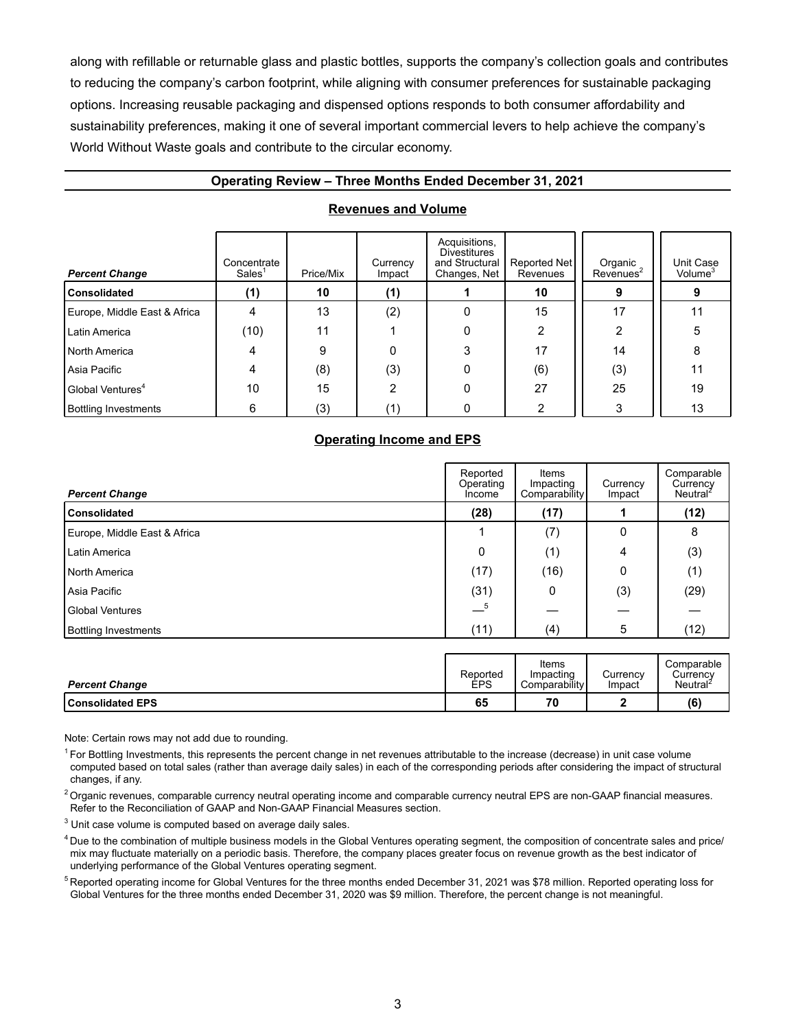along with refillable or returnable glass and plastic bottles, supports the company's collection goals and contributes to reducing the company's carbon footprint, while aligning with consumer preferences for sustainable packaging options. Increasing reusable packaging and dispensed options responds to both consumer affordability and sustainability preferences, making it one of several important commercial levers to help achieve the company's World Without Waste goals and contribute to the circular economy.

### **Operating Review** *–* **Three Months Ended December 31, 2021**

| <b>Percent Change</b>        | Concentrate<br>Sales <sup>1</sup> | Price/Mix | Currency<br>Impact | Acquisitions,<br><b>Divestitures</b><br>and Structural<br>Changes, Net | Reported Net<br>Revenues | Organic<br>Revenues <sup>2</sup> | Unit Case<br>Volume <sup>3</sup> |
|------------------------------|-----------------------------------|-----------|--------------------|------------------------------------------------------------------------|--------------------------|----------------------------------|----------------------------------|
| l Consolidated               | (1)                               | 10        | (1)                |                                                                        | 10                       | 9                                |                                  |
| Europe, Middle East & Africa |                                   | 13        | (2)                | 0                                                                      | 15                       | 17                               |                                  |
| <b>I</b> Latin America       | (10)                              | 11        |                    | 0                                                                      | $\overline{2}$           | 2                                | 5                                |
| l North America              | 4                                 | 9         | 0                  | 3                                                                      | 17                       | 14                               | 8                                |
| <b>I</b> Asia Pacific        | 4                                 | (8)       | (3)                | 0                                                                      | (6)                      | (3)                              |                                  |
| Global Ventures <sup>4</sup> | 10                                | 15        | ◠                  | 0                                                                      | 27                       | 25                               | 19                               |
| <b>Bottling Investments</b>  | 6                                 | (3)       | 11                 | 0                                                                      | 2                        | 3                                | 13                               |

### **Revenues and Volume**

### **Operating Income and EPS**

| <b>Percent Change</b>        | Reported<br>Operating<br>Income | Items<br>Impacting<br>Comparability | Currency<br>Impact | Comparable<br>Currency<br>Neutral <sup>2</sup> |
|------------------------------|---------------------------------|-------------------------------------|--------------------|------------------------------------------------|
| <b>Consolidated</b>          | (28)                            | (17)                                |                    | (12)                                           |
| Europe, Middle East & Africa |                                 | (7)                                 | $\mathbf 0$        | 8                                              |
| Latin America                | $\mathbf{0}$                    | (1)                                 | 4                  | (3)                                            |
| l North America              | (17)                            | (16)                                | 0                  | (1)                                            |
| Asia Pacific                 | (31)                            | 0                                   | (3)                | (29)                                           |
| <b>Global Ventures</b>       | $_{-5}$                         |                                     |                    |                                                |
| <b>Bottling Investments</b>  | (11)                            | (4)                                 | 5                  | (12)                                           |

| <b>Percent Change</b>   | Reported<br><b>EPS</b> | Items<br>Impacting<br>Comparability | Currencv<br>Impact | Comparable<br>Currency<br>Neutral <sup>2</sup> |
|-------------------------|------------------------|-------------------------------------|--------------------|------------------------------------------------|
| <b>Consolidated EPS</b> | 65                     | 70                                  |                    | (6                                             |

Note: Certain rows may not add due to rounding.

<sup>1</sup> For Bottling Investments, this represents the percent change in net revenues attributable to the increase (decrease) in unit case volume computed based on total sales (rather than average daily sales) in each of the corresponding periods after considering the impact of structural changes, if any.

<sup>2</sup> Organic revenues, comparable currency neutral operating income and comparable currency neutral EPS are non-GAAP financial measures. Refer to the Reconciliation of GAAP and Non-GAAP Financial Measures section.

 $3$  Unit case volume is computed based on average daily sales.

<sup>4</sup>Due to the combination of multiple business models in the Global Ventures operating segment, the composition of concentrate sales and price/ mix may fluctuate materially on a periodic basis. Therefore, the company places greater focus on revenue growth as the best indicator of underlying performance of the Global Ventures operating segment.

<sup>5</sup> Reported operating income for Global Ventures for the three months ended December 31, 2021 was \$78 million. Reported operating loss for Global Ventures for the three months ended December 31, 2020 was \$9 million. Therefore, the percent change is not meaningful.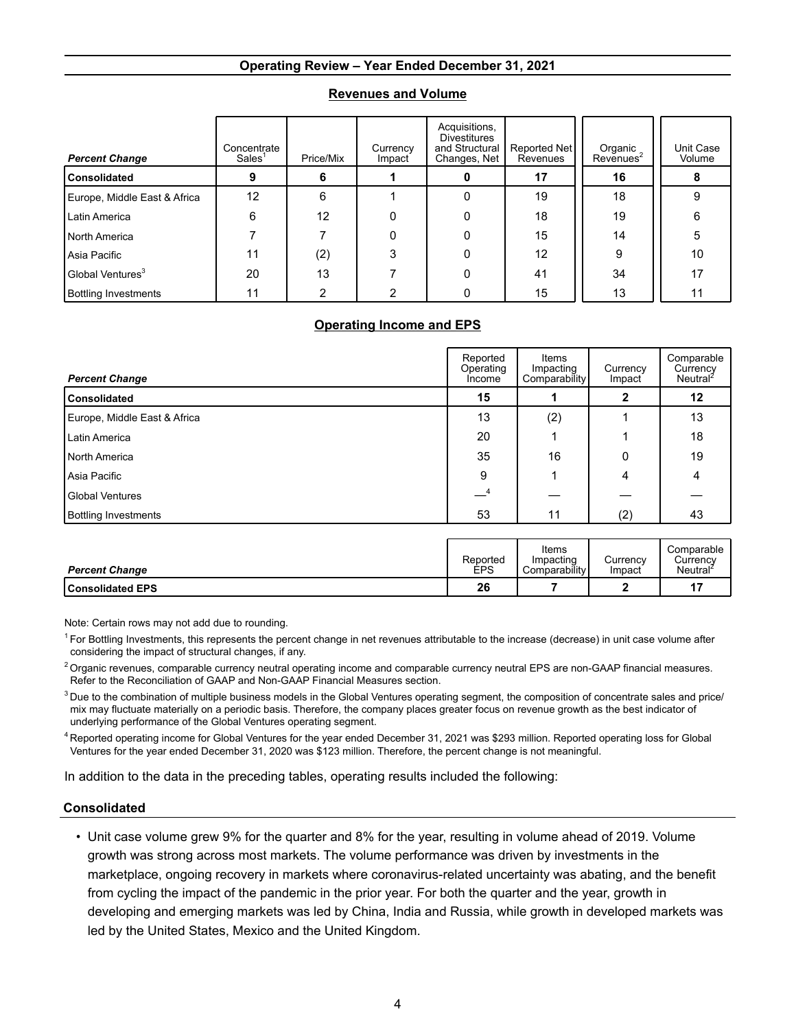### **Operating Review** *–* **Year Ended December 31, 2021**

| <b>Percent Change</b>        | Concentrate<br>Sales <sup>1</sup> | Price/Mix | Currency<br>Impact | Acquisitions,<br><b>Divestitures</b><br>and Structural<br>Changes, Net | Reported Net<br>Revenues | Organic<br>Revenues <sup>2</sup> | Unit Case<br>Volume |
|------------------------------|-----------------------------------|-----------|--------------------|------------------------------------------------------------------------|--------------------------|----------------------------------|---------------------|
| l Consolidated               |                                   | 6         |                    |                                                                        | 17                       | 16                               |                     |
| Europe, Middle East & Africa | 12                                | 6         |                    |                                                                        | 19                       | 18                               |                     |
| Latin America                | 6                                 | 12        | O                  |                                                                        | 18                       | 19                               | h                   |
| l North America              |                                   |           | O                  |                                                                        | 15                       | 14                               |                     |
| <b>I</b> Asia Pacific        | 11                                | (2)       |                    |                                                                        | 12                       | 9                                | 10                  |
| $\sf I$ Global Ventures $^3$ | 20                                | 13        |                    |                                                                        | 41                       | 34                               |                     |
| <b>Bottling Investments</b>  | 11                                | ົ         |                    |                                                                        | 15                       | 13                               |                     |

### **Operating Income and EPS**

| <b>Percent Change</b>        | Reported<br>Operating<br>Income | Items<br>Impacting<br>Comparability | Currency<br>Impact | Comparable<br>Currency<br>Neutral <sup>2</sup> |
|------------------------------|---------------------------------|-------------------------------------|--------------------|------------------------------------------------|
| <b>Consolidated</b>          | 15                              |                                     |                    | $12 \,$                                        |
| Europe, Middle East & Africa | 13                              | (2)                                 |                    | 13                                             |
| <b>I</b> Latin America       | 20                              |                                     |                    | 18                                             |
| <b>North America</b>         | 35                              | 16                                  | 0                  | 19                                             |
| Asia Pacific                 | 9                               |                                     | 4                  | 4                                              |
| <b>Global Ventures</b>       | -4                              |                                     |                    |                                                |
| <b>Bottling Investments</b>  | 53                              | 11                                  | (2)                | 43                                             |
|                              |                                 |                                     |                    |                                                |

| <b>Percent Change</b>   | Reported<br><b>EPS</b> | Items<br>Impacting<br>Comparability | Currency<br>Impact | Comparable<br>Currency<br>Neutral <sup>2</sup> |
|-------------------------|------------------------|-------------------------------------|--------------------|------------------------------------------------|
| <b>Consolidated EPS</b> | 26                     |                                     |                    |                                                |

Note: Certain rows may not add due to rounding.

- <sup>1</sup> For Bottling Investments, this represents the percent change in net revenues attributable to the increase (decrease) in unit case volume after considering the impact of structural changes, if any.
- <sup>2</sup> Organic revenues, comparable currency neutral operating income and comparable currency neutral EPS are non-GAAP financial measures. Refer to the Reconciliation of GAAP and Non-GAAP Financial Measures section.
- <sup>3</sup> Due to the combination of multiple business models in the Global Ventures operating segment, the composition of concentrate sales and price/ mix may fluctuate materially on a periodic basis. Therefore, the company places greater focus on revenue growth as the best indicator of underlying performance of the Global Ventures operating segment.

<sup>4</sup>Reported operating income for Global Ventures for the year ended December 31, 2021 was \$293 million. Reported operating loss for Global Ventures for the year ended December 31, 2020 was \$123 million. Therefore, the percent change is not meaningful.

In addition to the data in the preceding tables, operating results included the following:

#### **Consolidated**

• Unit case volume grew 9% for the quarter and 8% for the year, resulting in volume ahead of 2019. Volume growth was strong across most markets. The volume performance was driven by investments in the marketplace, ongoing recovery in markets where coronavirus-related uncertainty was abating, and the benefit from cycling the impact of the pandemic in the prior year. For both the quarter and the year, growth in developing and emerging markets was led by China, India and Russia, while growth in developed markets was led by the United States, Mexico and the United Kingdom.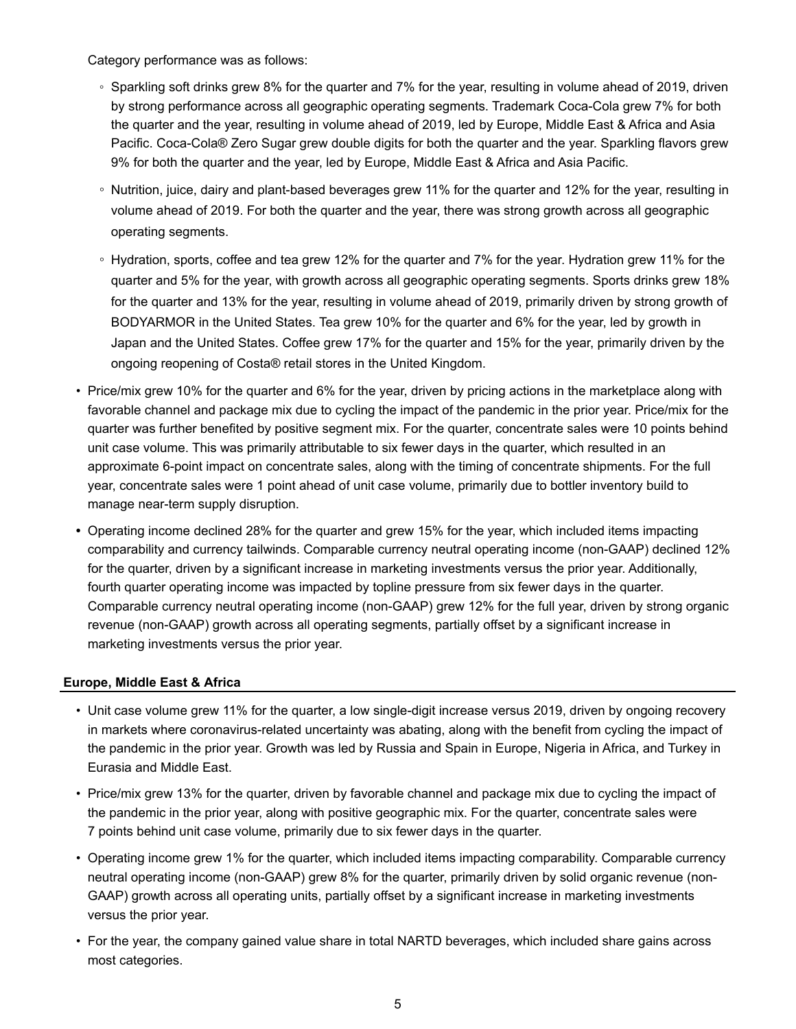Category performance was as follows:

- Sparkling soft drinks grew 8% for the quarter and 7% for the year, resulting in volume ahead of 2019, driven by strong performance across all geographic operating segments. Trademark Coca-Cola grew 7% for both the quarter and the year, resulting in volume ahead of 2019, led by Europe, Middle East & Africa and Asia Pacific. Coca-Cola® Zero Sugar grew double digits for both the quarter and the year. Sparkling flavors grew 9% for both the quarter and the year, led by Europe, Middle East & Africa and Asia Pacific.
- Nutrition, juice, dairy and plant-based beverages grew 11% for the quarter and 12% for the year, resulting in volume ahead of 2019. For both the quarter and the year, there was strong growth across all geographic operating segments.
- Hydration, sports, coffee and tea grew 12% for the quarter and 7% for the year. Hydration grew 11% for the quarter and 5% for the year, with growth across all geographic operating segments. Sports drinks grew 18% for the quarter and 13% for the year, resulting in volume ahead of 2019, primarily driven by strong growth of BODYARMOR in the United States. Tea grew 10% for the quarter and 6% for the year, led by growth in Japan and the United States. Coffee grew 17% for the quarter and 15% for the year, primarily driven by the ongoing reopening of Costa® retail stores in the United Kingdom.
- Price/mix grew 10% for the quarter and 6% for the year, driven by pricing actions in the marketplace along with favorable channel and package mix due to cycling the impact of the pandemic in the prior year. Price/mix for the quarter was further benefited by positive segment mix. For the quarter, concentrate sales were 10 points behind unit case volume. This was primarily attributable to six fewer days in the quarter, which resulted in an approximate 6-point impact on concentrate sales, along with the timing of concentrate shipments. For the full year, concentrate sales were 1 point ahead of unit case volume, primarily due to bottler inventory build to manage near-term supply disruption.
- **•** Operating income declined 28% for the quarter and grew 15% for the year, which included items impacting comparability and currency tailwinds. Comparable currency neutral operating income (non-GAAP) declined 12% for the quarter, driven by a significant increase in marketing investments versus the prior year. Additionally, fourth quarter operating income was impacted by topline pressure from six fewer days in the quarter. Comparable currency neutral operating income (non-GAAP) grew 12% for the full year, driven by strong organic revenue (non-GAAP) growth across all operating segments, partially offset by a significant increase in marketing investments versus the prior year.

### **Europe, Middle East & Africa**

- Unit case volume grew 11% for the quarter, a low single-digit increase versus 2019, driven by ongoing recovery in markets where coronavirus-related uncertainty was abating, along with the benefit from cycling the impact of the pandemic in the prior year. Growth was led by Russia and Spain in Europe, Nigeria in Africa, and Turkey in Eurasia and Middle East.
- Price/mix grew 13% for the quarter, driven by favorable channel and package mix due to cycling the impact of the pandemic in the prior year, along with positive geographic mix. For the quarter, concentrate sales were 7 points behind unit case volume, primarily due to six fewer days in the quarter.
- Operating income grew 1% for the quarter, which included items impacting comparability. Comparable currency neutral operating income (non-GAAP) grew 8% for the quarter, primarily driven by solid organic revenue (non-GAAP) growth across all operating units, partially offset by a significant increase in marketing investments versus the prior year.
- For the year, the company gained value share in total NARTD beverages, which included share gains across most categories.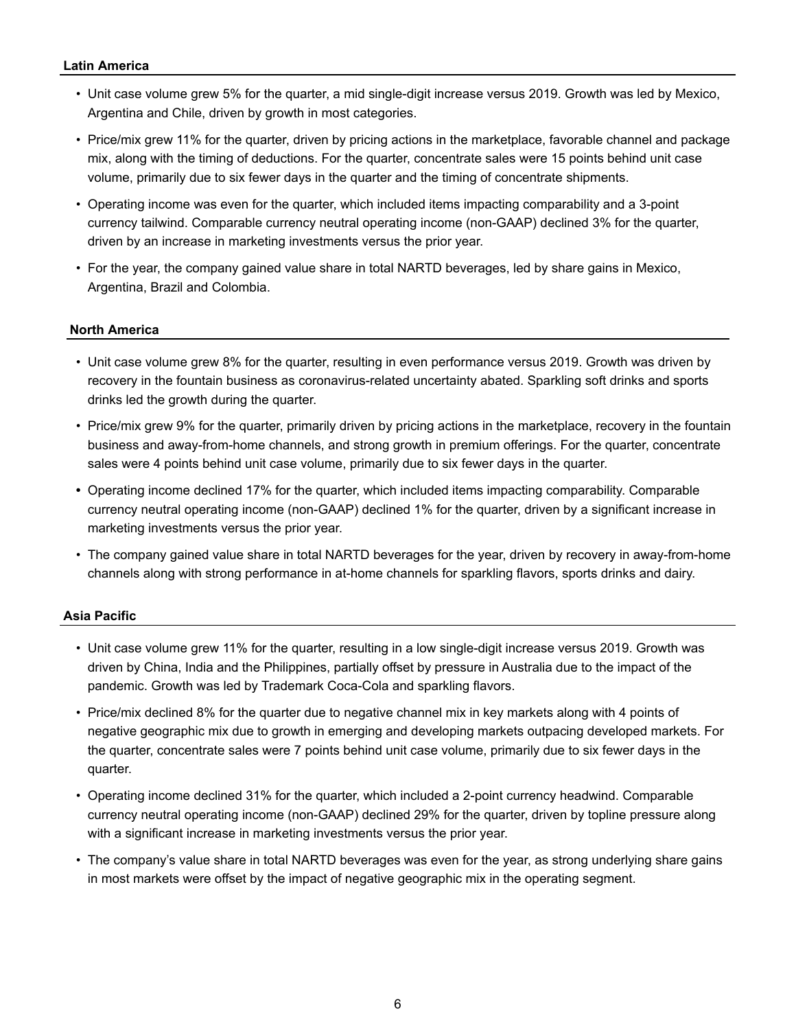### **Latin America**

- Unit case volume grew 5% for the quarter, a mid single-digit increase versus 2019. Growth was led by Mexico, Argentina and Chile, driven by growth in most categories.
- Price/mix grew 11% for the quarter, driven by pricing actions in the marketplace, favorable channel and package mix, along with the timing of deductions. For the quarter, concentrate sales were 15 points behind unit case volume, primarily due to six fewer days in the quarter and the timing of concentrate shipments.
- Operating income was even for the quarter, which included items impacting comparability and a 3-point currency tailwind. Comparable currency neutral operating income (non-GAAP) declined 3% for the quarter, driven by an increase in marketing investments versus the prior year.
- For the year, the company gained value share in total NARTD beverages, led by share gains in Mexico, Argentina, Brazil and Colombia.

### **North America**

- Unit case volume grew 8% for the quarter, resulting in even performance versus 2019. Growth was driven by recovery in the fountain business as coronavirus-related uncertainty abated. Sparkling soft drinks and sports drinks led the growth during the quarter.
- Price/mix grew 9% for the quarter, primarily driven by pricing actions in the marketplace, recovery in the fountain business and away-from-home channels, and strong growth in premium offerings. For the quarter, concentrate sales were 4 points behind unit case volume, primarily due to six fewer days in the quarter.
- **•** Operating income declined 17% for the quarter, which included items impacting comparability. Comparable currency neutral operating income (non-GAAP) declined 1% for the quarter, driven by a significant increase in marketing investments versus the prior year.
- The company gained value share in total NARTD beverages for the year, driven by recovery in away-from-home channels along with strong performance in at-home channels for sparkling flavors, sports drinks and dairy.

### **Asia Pacific**

- Unit case volume grew 11% for the quarter, resulting in a low single-digit increase versus 2019. Growth was driven by China, India and the Philippines, partially offset by pressure in Australia due to the impact of the pandemic. Growth was led by Trademark Coca-Cola and sparkling flavors.
- Price/mix declined 8% for the quarter due to negative channel mix in key markets along with 4 points of negative geographic mix due to growth in emerging and developing markets outpacing developed markets. For the quarter, concentrate sales were 7 points behind unit case volume, primarily due to six fewer days in the quarter.
- Operating income declined 31% for the quarter, which included a 2-point currency headwind. Comparable currency neutral operating income (non-GAAP) declined 29% for the quarter, driven by topline pressure along with a significant increase in marketing investments versus the prior year.
- The company's value share in total NARTD beverages was even for the year, as strong underlying share gains in most markets were offset by the impact of negative geographic mix in the operating segment.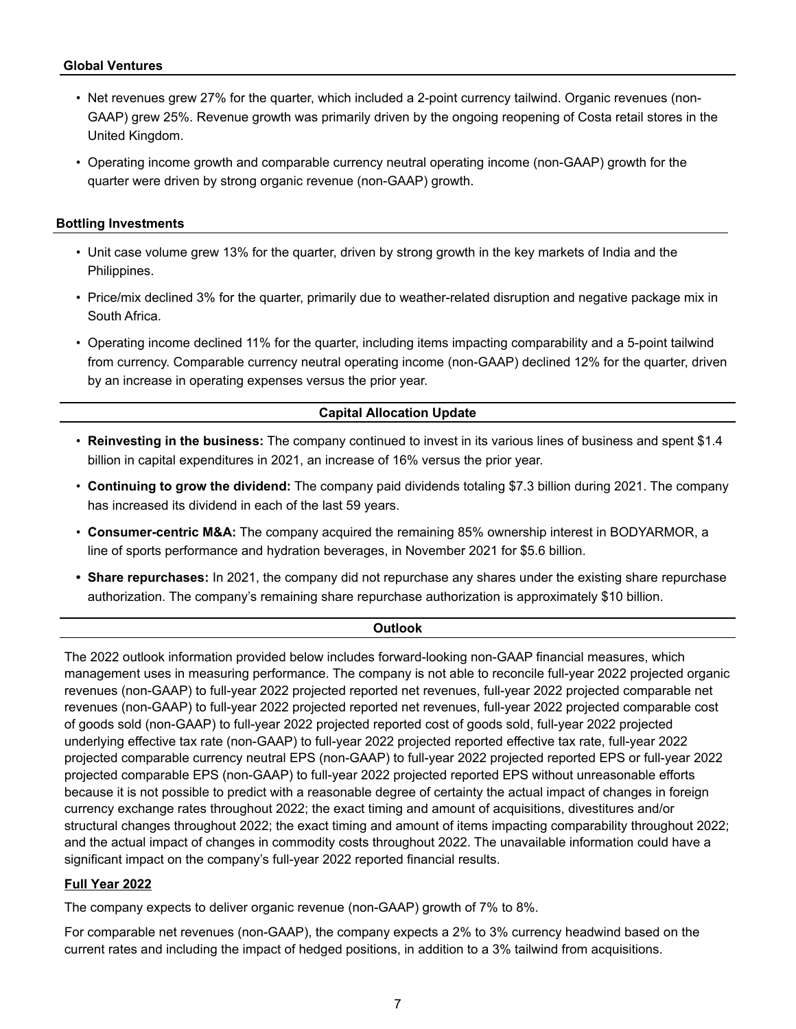### **Global Ventures**

- Net revenues grew 27% for the quarter, which included a 2-point currency tailwind. Organic revenues (non-GAAP) grew 25%. Revenue growth was primarily driven by the ongoing reopening of Costa retail stores in the United Kingdom.
- Operating income growth and comparable currency neutral operating income (non-GAAP) growth for the quarter were driven by strong organic revenue (non-GAAP) growth.

### **Bottling Investments**

- Unit case volume grew 13% for the quarter, driven by strong growth in the key markets of India and the Philippines.
- Price/mix declined 3% for the quarter, primarily due to weather-related disruption and negative package mix in South Africa.
- Operating income declined 11% for the quarter, including items impacting comparability and a 5-point tailwind from currency. Comparable currency neutral operating income (non-GAAP) declined 12% for the quarter, driven by an increase in operating expenses versus the prior year.

### **Capital Allocation Update**

- **Reinvesting in the business:** The company continued to invest in its various lines of business and spent \$1.4 billion in capital expenditures in 2021, an increase of 16% versus the prior year.
- **Continuing to grow the dividend:** The company paid dividends totaling \$7.3 billion during 2021. The company has increased its dividend in each of the last 59 years.
- **Consumer-centric M&A:** The company acquired the remaining 85% ownership interest in BODYARMOR, a line of sports performance and hydration beverages, in November 2021 for \$5.6 billion.
- **• Share repurchases:** In 2021, the company did not repurchase any shares under the existing share repurchase authorization. The company's remaining share repurchase authorization is approximately \$10 billion.

### **Outlook**

The 2022 outlook information provided below includes forward-looking non-GAAP financial measures, which management uses in measuring performance. The company is not able to reconcile full-year 2022 projected organic revenues (non-GAAP) to full-year 2022 projected reported net revenues, full-year 2022 projected comparable net revenues (non-GAAP) to full-year 2022 projected reported net revenues, full-year 2022 projected comparable cost of goods sold (non-GAAP) to full-year 2022 projected reported cost of goods sold, full-year 2022 projected underlying effective tax rate (non-GAAP) to full-year 2022 projected reported effective tax rate, full-year 2022 projected comparable currency neutral EPS (non-GAAP) to full-year 2022 projected reported EPS or full-year 2022 projected comparable EPS (non-GAAP) to full-year 2022 projected reported EPS without unreasonable efforts because it is not possible to predict with a reasonable degree of certainty the actual impact of changes in foreign currency exchange rates throughout 2022; the exact timing and amount of acquisitions, divestitures and/or structural changes throughout 2022; the exact timing and amount of items impacting comparability throughout 2022; and the actual impact of changes in commodity costs throughout 2022. The unavailable information could have a significant impact on the company's full-year 2022 reported financial results.

### **Full Year 2022**

The company expects to deliver organic revenue (non-GAAP) growth of 7% to 8%.

For comparable net revenues (non-GAAP), the company expects a 2% to 3% currency headwind based on the current rates and including the impact of hedged positions, in addition to a 3% tailwind from acquisitions.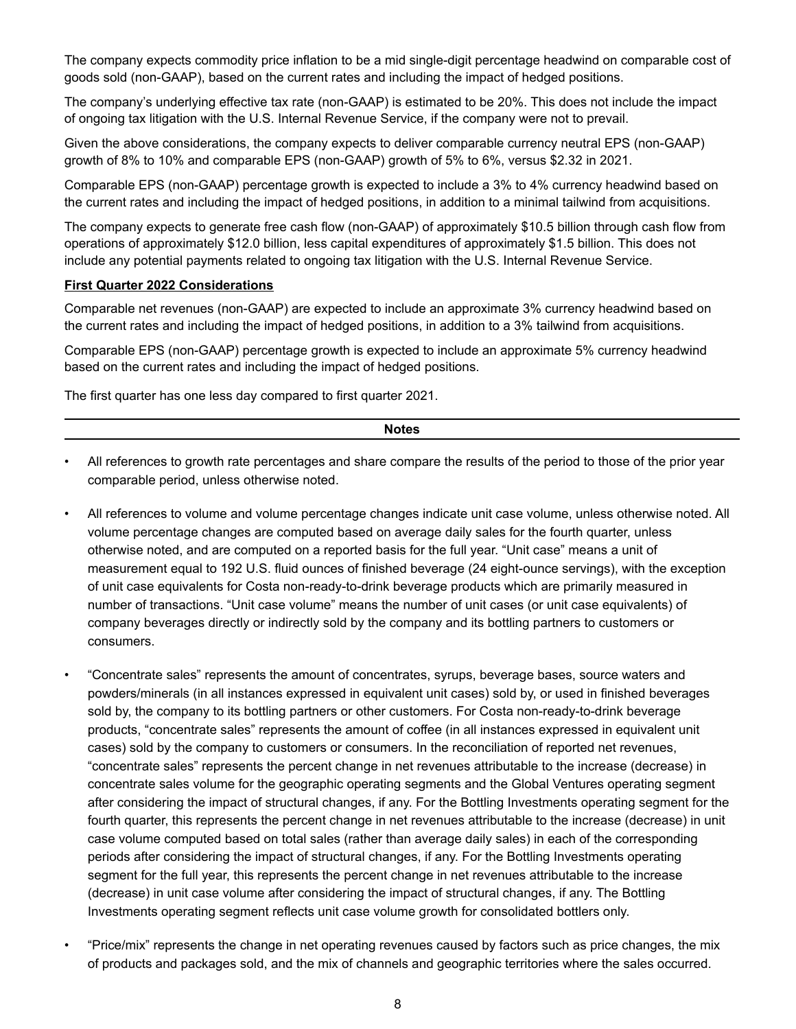The company expects commodity price inflation to be a mid single-digit percentage headwind on comparable cost of goods sold (non-GAAP), based on the current rates and including the impact of hedged positions.

The company's underlying effective tax rate (non-GAAP) is estimated to be 20%. This does not include the impact of ongoing tax litigation with the U.S. Internal Revenue Service, if the company were not to prevail.

Given the above considerations, the company expects to deliver comparable currency neutral EPS (non-GAAP) growth of 8% to 10% and comparable EPS (non-GAAP) growth of 5% to 6%, versus \$2.32 in 2021.

Comparable EPS (non-GAAP) percentage growth is expected to include a 3% to 4% currency headwind based on the current rates and including the impact of hedged positions, in addition to a minimal tailwind from acquisitions.

The company expects to generate free cash flow (non-GAAP) of approximately \$10.5 billion through cash flow from operations of approximately \$12.0 billion, less capital expenditures of approximately \$1.5 billion. This does not include any potential payments related to ongoing tax litigation with the U.S. Internal Revenue Service.

### **First Quarter 2022 Considerations**

Comparable net revenues (non-GAAP) are expected to include an approximate 3% currency headwind based on the current rates and including the impact of hedged positions, in addition to a 3% tailwind from acquisitions.

Comparable EPS (non-GAAP) percentage growth is expected to include an approximate 5% currency headwind based on the current rates and including the impact of hedged positions.

The first quarter has one less day compared to first quarter 2021.

### **Notes**

- All references to growth rate percentages and share compare the results of the period to those of the prior year comparable period, unless otherwise noted.
- All references to volume and volume percentage changes indicate unit case volume, unless otherwise noted. All volume percentage changes are computed based on average daily sales for the fourth quarter, unless otherwise noted, and are computed on a reported basis for the full year. "Unit case" means a unit of measurement equal to 192 U.S. fluid ounces of finished beverage (24 eight-ounce servings), with the exception of unit case equivalents for Costa non-ready-to-drink beverage products which are primarily measured in number of transactions. "Unit case volume" means the number of unit cases (or unit case equivalents) of company beverages directly or indirectly sold by the company and its bottling partners to customers or consumers.
- "Concentrate sales" represents the amount of concentrates, syrups, beverage bases, source waters and powders/minerals (in all instances expressed in equivalent unit cases) sold by, or used in finished beverages sold by, the company to its bottling partners or other customers. For Costa non-ready-to-drink beverage products, "concentrate sales" represents the amount of coffee (in all instances expressed in equivalent unit cases) sold by the company to customers or consumers. In the reconciliation of reported net revenues, "concentrate sales" represents the percent change in net revenues attributable to the increase (decrease) in concentrate sales volume for the geographic operating segments and the Global Ventures operating segment after considering the impact of structural changes, if any. For the Bottling Investments operating segment for the fourth quarter, this represents the percent change in net revenues attributable to the increase (decrease) in unit case volume computed based on total sales (rather than average daily sales) in each of the corresponding periods after considering the impact of structural changes, if any. For the Bottling Investments operating segment for the full year, this represents the percent change in net revenues attributable to the increase (decrease) in unit case volume after considering the impact of structural changes, if any. The Bottling Investments operating segment reflects unit case volume growth for consolidated bottlers only.
- "Price/mix" represents the change in net operating revenues caused by factors such as price changes, the mix of products and packages sold, and the mix of channels and geographic territories where the sales occurred.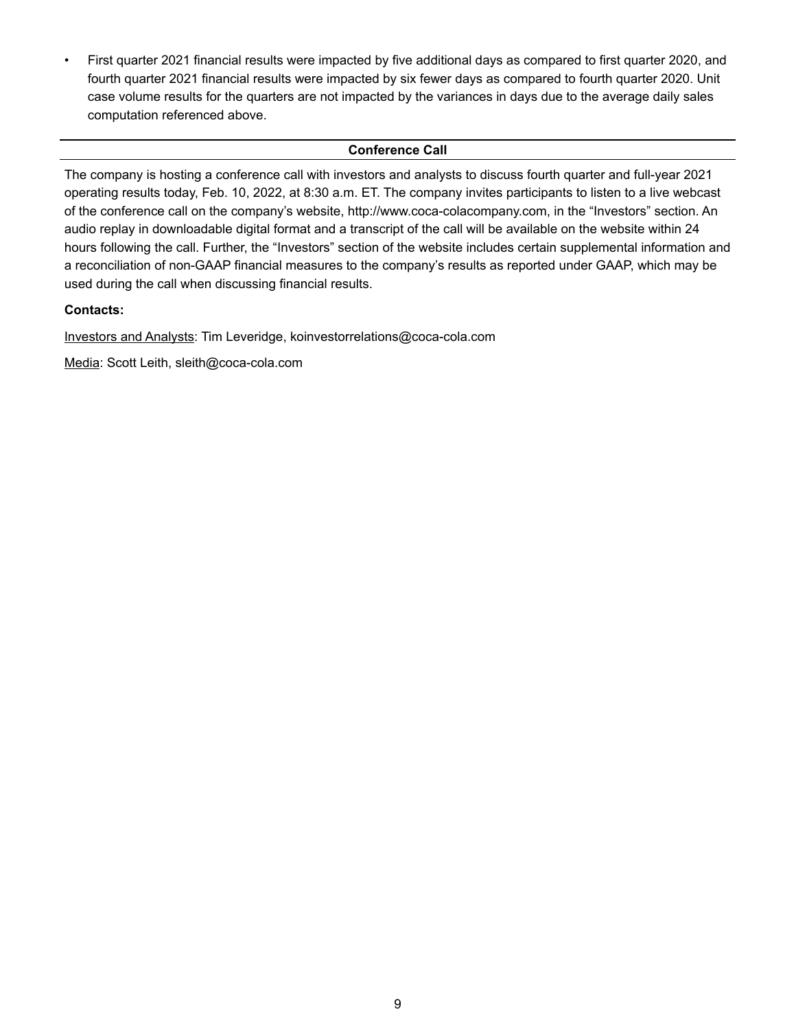• First quarter 2021 financial results were impacted by five additional days as compared to first quarter 2020, and fourth quarter 2021 financial results were impacted by six fewer days as compared to fourth quarter 2020. Unit case volume results for the quarters are not impacted by the variances in days due to the average daily sales computation referenced above.

### **Conference Call**

The company is hosting a conference call with investors and analysts to discuss fourth quarter and full-year 2021 operating results today, Feb. 10, 2022, at 8:30 a.m. ET. The company invites participants to listen to a live webcast of the conference call on the company's website, http://www.coca-colacompany.com, in the "Investors" section. An audio replay in downloadable digital format and a transcript of the call will be available on the website within 24 hours following the call. Further, the "Investors" section of the website includes certain supplemental information and a reconciliation of non-GAAP financial measures to the company's results as reported under GAAP, which may be used during the call when discussing financial results.

### **Contacts:**

Investors and Analysts: Tim Leveridge, koinvestorrelations@coca-cola.com

Media: Scott Leith, sleith@coca-cola.com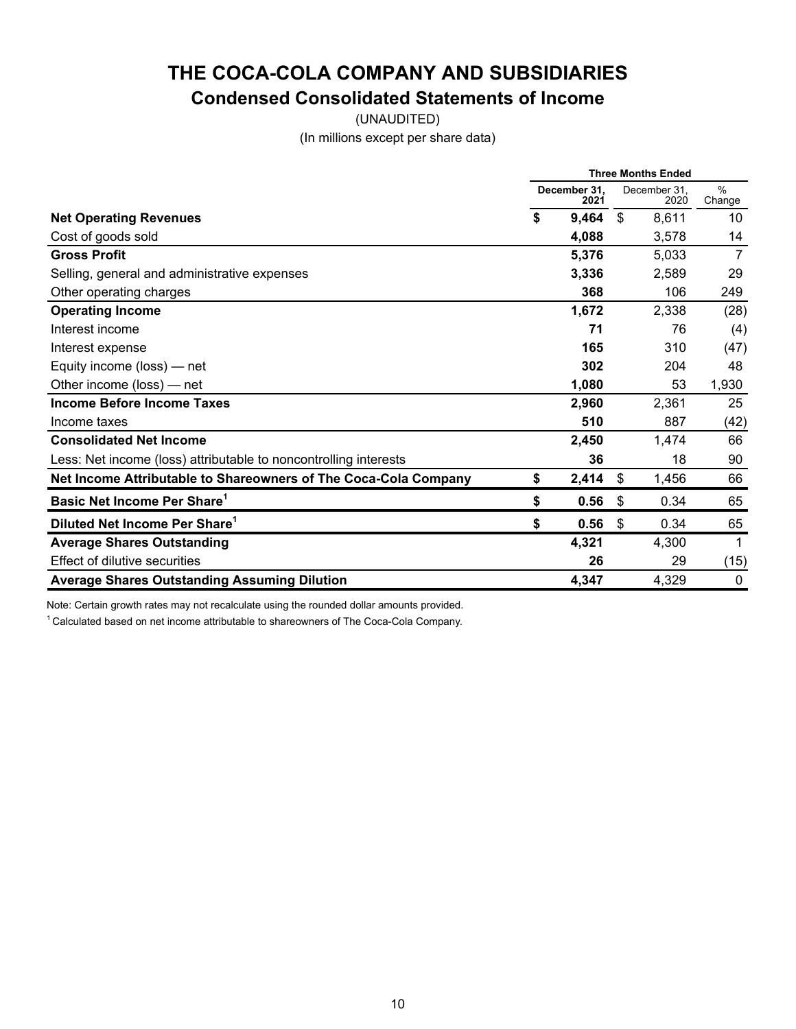## **THE COCA-COLA COMPANY AND SUBSIDIARIES Condensed Consolidated Statements of Income**

(UNAUDITED) (In millions except per share data)

|                                                                  | <b>Three Months Ended</b> |                      |    |                      |                         |  |  |
|------------------------------------------------------------------|---------------------------|----------------------|----|----------------------|-------------------------|--|--|
|                                                                  |                           | December 31,<br>2021 |    | December 31,<br>2020 | $\frac{0}{0}$<br>Change |  |  |
| <b>Net Operating Revenues</b>                                    | \$                        | 9,464                | \$ | 8,611                | 10                      |  |  |
| Cost of goods sold                                               |                           | 4,088                |    | 3,578                | 14                      |  |  |
| <b>Gross Profit</b>                                              |                           | 5,376                |    | 5,033                | $\overline{7}$          |  |  |
| Selling, general and administrative expenses                     |                           | 3,336                |    | 2,589                | 29                      |  |  |
| Other operating charges                                          |                           | 368                  |    | 106                  | 249                     |  |  |
| <b>Operating Income</b>                                          |                           | 1,672                |    | 2,338                | (28)                    |  |  |
| Interest income                                                  |                           | 71                   |    | 76                   | (4)                     |  |  |
| Interest expense                                                 |                           | 165                  |    | 310                  | (47)                    |  |  |
| Equity income (loss) - net                                       |                           | 302                  |    | 204                  | 48                      |  |  |
| Other income (loss) — net                                        |                           | 1,080                |    | 53                   | 1,930                   |  |  |
| <b>Income Before Income Taxes</b>                                |                           | 2,960                |    | 2,361                | 25                      |  |  |
| Income taxes                                                     |                           | 510                  |    | 887                  | (42)                    |  |  |
| <b>Consolidated Net Income</b>                                   |                           | 2,450                |    | 1,474                | 66                      |  |  |
| Less: Net income (loss) attributable to noncontrolling interests |                           | 36                   |    | 18                   | 90                      |  |  |
| Net Income Attributable to Shareowners of The Coca-Cola Company  | \$                        | 2,414                | S  | 1,456                | 66                      |  |  |
| Basic Net Income Per Share <sup>1</sup>                          | \$                        | 0.56                 | \$ | 0.34                 | 65                      |  |  |
| Diluted Net Income Per Share <sup>1</sup>                        | \$                        | 0.56                 | \$ | 0.34                 | 65                      |  |  |
| <b>Average Shares Outstanding</b>                                |                           | 4,321                |    | 4,300                | 1                       |  |  |
| <b>Effect of dilutive securities</b>                             |                           | 26                   |    | 29                   | (15)                    |  |  |
| <b>Average Shares Outstanding Assuming Dilution</b>              |                           | 4,347                |    | 4,329                | 0                       |  |  |

Note: Certain growth rates may not recalculate using the rounded dollar amounts provided.

 $1$ Calculated based on net income attributable to shareowners of The Coca-Cola Company.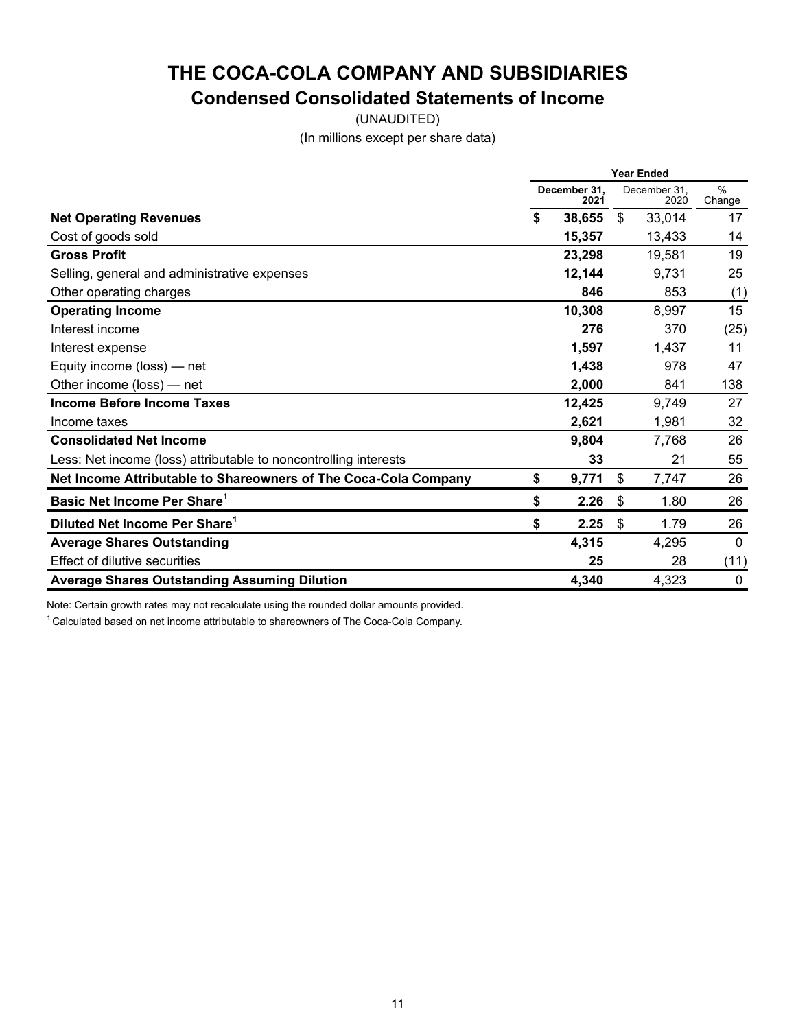## **THE COCA-COLA COMPANY AND SUBSIDIARIES Condensed Consolidated Statements of Income**

(UNAUDITED) (In millions except per share data)

|                                                                  |                      | <b>Year Ended</b> |                      |                         |  |
|------------------------------------------------------------------|----------------------|-------------------|----------------------|-------------------------|--|
|                                                                  | December 31,<br>2021 |                   | December 31,<br>2020 | $\frac{0}{0}$<br>Change |  |
| <b>Net Operating Revenues</b>                                    | \$<br>38,655         | \$                | 33,014               | 17                      |  |
| Cost of goods sold                                               | 15,357               |                   | 13,433               | 14                      |  |
| <b>Gross Profit</b>                                              | 23,298               |                   | 19,581               | 19                      |  |
| Selling, general and administrative expenses                     | 12,144               |                   | 9,731                | 25                      |  |
| Other operating charges                                          | 846                  |                   | 853                  | (1)                     |  |
| <b>Operating Income</b>                                          | 10,308               |                   | 8,997                | 15                      |  |
| Interest income                                                  | 276                  |                   | 370                  | (25)                    |  |
| Interest expense                                                 | 1,597                |                   | 1,437                | 11                      |  |
| Equity income (loss) — net                                       | 1,438                |                   | 978                  | 47                      |  |
| Other income (loss) — net                                        | 2,000                |                   | 841                  | 138                     |  |
| Income Before Income Taxes                                       | 12,425               |                   | 9,749                | 27                      |  |
| Income taxes                                                     | 2,621                |                   | 1,981                | 32                      |  |
| <b>Consolidated Net Income</b>                                   | 9,804                |                   | 7,768                | 26                      |  |
| Less: Net income (loss) attributable to noncontrolling interests | 33                   |                   | 21                   | 55                      |  |
| Net Income Attributable to Shareowners of The Coca-Cola Company  | \$<br>9,771          | \$                | 7,747                | 26                      |  |
| Basic Net Income Per Share <sup>1</sup>                          | \$<br>2.26           | \$                | 1.80                 | 26                      |  |
| Diluted Net Income Per Share <sup>1</sup>                        | \$<br>2.25           | \$                | 1.79                 | 26                      |  |
| <b>Average Shares Outstanding</b>                                | 4,315                |                   | 4,295                | $\Omega$                |  |
| <b>Effect of dilutive securities</b>                             | 25                   |                   | 28                   | (11)                    |  |
| <b>Average Shares Outstanding Assuming Dilution</b>              | 4,340                |                   | 4,323                | 0                       |  |

Note: Certain growth rates may not recalculate using the rounded dollar amounts provided.

 $1$ Calculated based on net income attributable to shareowners of The Coca-Cola Company.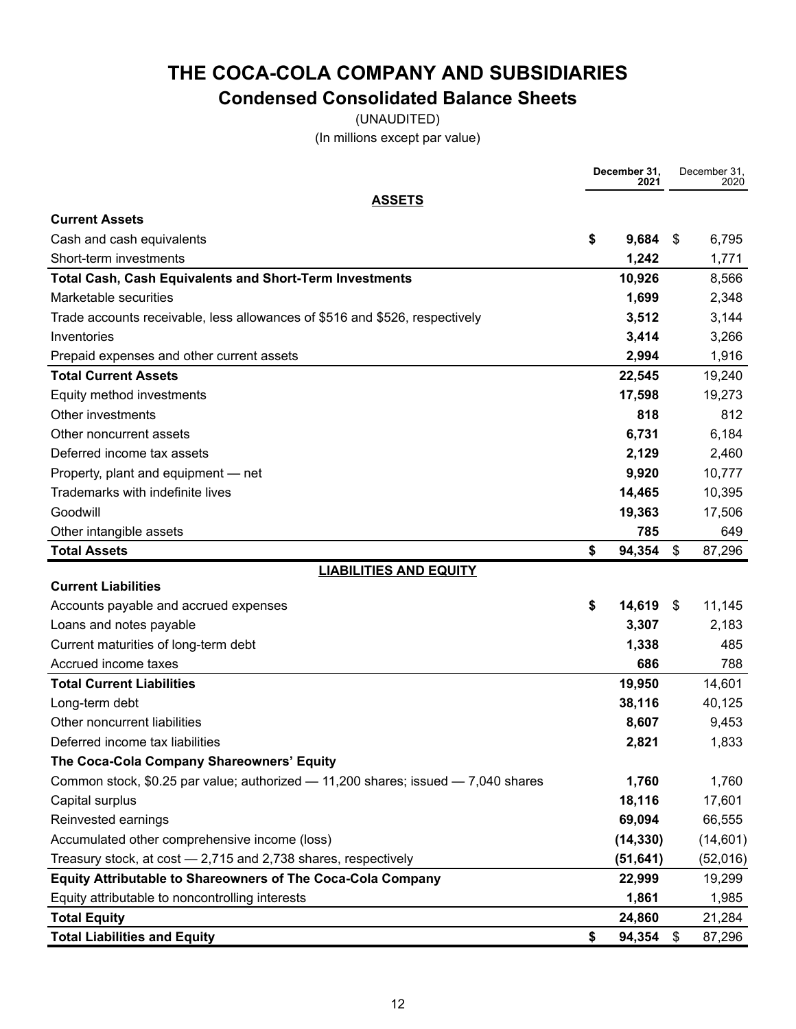**THE COCA-COLA COMPANY AND SUBSIDIARIES**

## **Condensed Consolidated Balance Sheets**

(UNAUDITED)

(In millions except par value)

|                                                                                   | December 31,<br>2021 | December 31,<br>2020 |  |
|-----------------------------------------------------------------------------------|----------------------|----------------------|--|
| <b>ASSETS</b>                                                                     |                      |                      |  |
| <b>Current Assets</b>                                                             |                      |                      |  |
| Cash and cash equivalents                                                         | \$<br>9,684          | \$<br>6,795          |  |
| Short-term investments                                                            | 1,242                | 1,771                |  |
| <b>Total Cash, Cash Equivalents and Short-Term Investments</b>                    | 10,926               | 8,566                |  |
| Marketable securities                                                             | 1,699                | 2,348                |  |
| Trade accounts receivable, less allowances of \$516 and \$526, respectively       | 3,512                | 3,144                |  |
| Inventories                                                                       | 3,414                | 3,266                |  |
| Prepaid expenses and other current assets                                         | 2,994                | 1,916                |  |
| <b>Total Current Assets</b>                                                       | 22,545               | 19,240               |  |
| Equity method investments                                                         | 17,598               | 19,273               |  |
| Other investments                                                                 | 818                  | 812                  |  |
| Other noncurrent assets                                                           | 6,731                | 6,184                |  |
| Deferred income tax assets                                                        | 2,129                | 2,460                |  |
| Property, plant and equipment - net                                               | 9,920                | 10,777               |  |
| Trademarks with indefinite lives                                                  | 14,465               | 10,395               |  |
| Goodwill                                                                          | 19,363               | 17,506               |  |
| Other intangible assets                                                           | 785                  | 649                  |  |
| <b>Total Assets</b>                                                               | \$<br>94,354         | \$<br>87,296         |  |
| <b>LIABILITIES AND EQUITY</b>                                                     |                      |                      |  |
| <b>Current Liabilities</b>                                                        |                      |                      |  |
| Accounts payable and accrued expenses                                             | \$<br>14,619         | \$<br>11,145         |  |
| Loans and notes payable                                                           | 3,307                | 2,183                |  |
| Current maturities of long-term debt                                              | 1,338                | 485                  |  |
| Accrued income taxes                                                              | 686                  | 788                  |  |
| <b>Total Current Liabilities</b>                                                  | 19,950               | 14,601               |  |
| Long-term debt                                                                    | 38,116               | 40,125               |  |
| Other noncurrent liabilities                                                      | 8,607                | 9,453                |  |
| Deferred income tax liabilities                                                   | 2,821                | 1,833                |  |
| The Coca-Cola Company Shareowners' Equity                                         |                      |                      |  |
| Common stock, \$0.25 par value; authorized - 11,200 shares; issued - 7,040 shares | 1,760                | 1,760                |  |
| Capital surplus                                                                   | 18,116               | 17,601               |  |
| Reinvested earnings                                                               | 69,094               | 66,555               |  |
| Accumulated other comprehensive income (loss)                                     | (14, 330)            | (14, 601)            |  |
| Treasury stock, at cost - 2,715 and 2,738 shares, respectively                    | (51, 641)            | (52,016)             |  |
| <b>Equity Attributable to Shareowners of The Coca-Cola Company</b>                | 22,999               | 19,299               |  |
| Equity attributable to noncontrolling interests                                   | 1,861                | 1,985                |  |
| <b>Total Equity</b>                                                               | 24,860               | 21,284               |  |
| <b>Total Liabilities and Equity</b>                                               | \$<br>94,354         | \$<br>87,296         |  |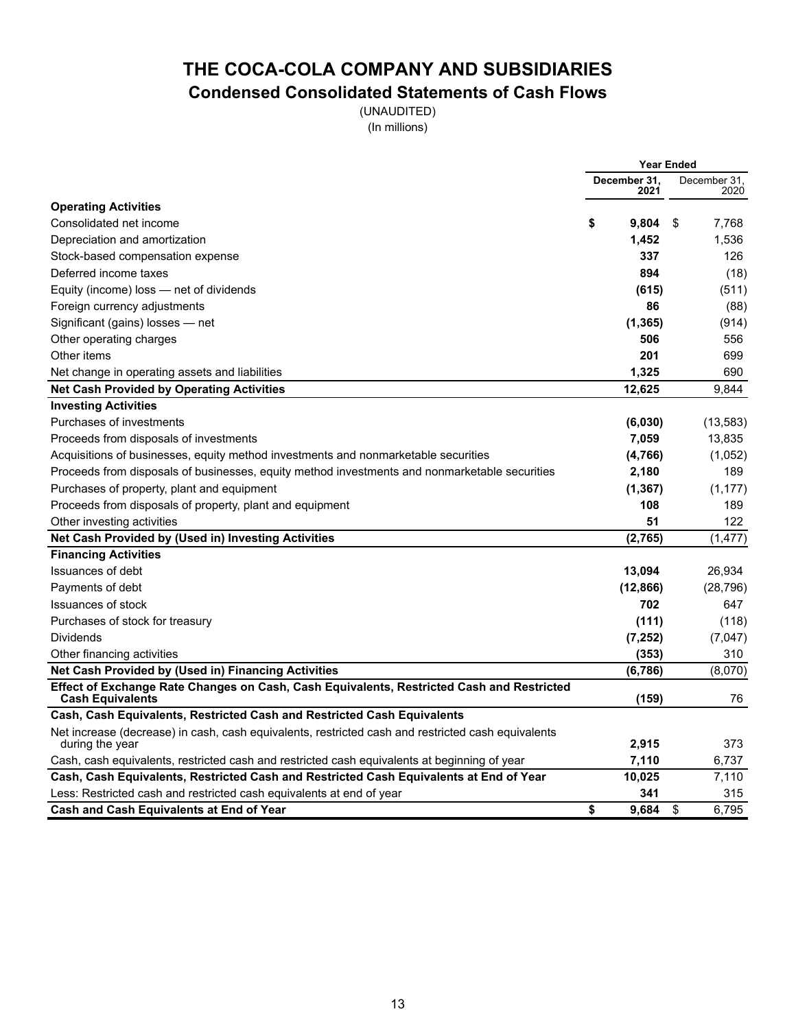### **THE COCA-COLA COMPANY AND SUBSIDIARIES**

### **Condensed Consolidated Statements of Cash Flows**

(UNAUDITED) (In millions)

|                                                                                                                       | <b>Year Ended</b>    |                      |  |  |
|-----------------------------------------------------------------------------------------------------------------------|----------------------|----------------------|--|--|
|                                                                                                                       | December 31,<br>2021 | December 31,<br>2020 |  |  |
| <b>Operating Activities</b>                                                                                           |                      |                      |  |  |
| Consolidated net income                                                                                               | \$<br>9,804          | \$<br>7,768          |  |  |
| Depreciation and amortization                                                                                         | 1,452                | 1,536                |  |  |
| Stock-based compensation expense                                                                                      | 337                  | 126                  |  |  |
| Deferred income taxes                                                                                                 | 894                  | (18)                 |  |  |
| Equity (income) loss – net of dividends                                                                               | (615)                | (511)                |  |  |
| Foreign currency adjustments                                                                                          | 86                   | (88)                 |  |  |
| Significant (gains) losses - net                                                                                      | (1, 365)             | (914)                |  |  |
| Other operating charges                                                                                               | 506                  | 556                  |  |  |
| Other items                                                                                                           | 201                  | 699                  |  |  |
| Net change in operating assets and liabilities                                                                        | 1,325                | 690                  |  |  |
| <b>Net Cash Provided by Operating Activities</b>                                                                      | 12,625               | 9,844                |  |  |
| <b>Investing Activities</b>                                                                                           |                      |                      |  |  |
| Purchases of investments                                                                                              | (6,030)              | (13, 583)            |  |  |
| Proceeds from disposals of investments                                                                                | 7,059                | 13,835               |  |  |
| Acquisitions of businesses, equity method investments and nonmarketable securities                                    | (4,766)              | (1,052)              |  |  |
| Proceeds from disposals of businesses, equity method investments and nonmarketable securities                         | 2,180                | 189                  |  |  |
| Purchases of property, plant and equipment                                                                            | (1, 367)             | (1, 177)             |  |  |
| Proceeds from disposals of property, plant and equipment                                                              | 108                  | 189                  |  |  |
| Other investing activities                                                                                            | 51                   | 122                  |  |  |
| Net Cash Provided by (Used in) Investing Activities                                                                   | (2,765)              | (1, 477)             |  |  |
| <b>Financing Activities</b>                                                                                           |                      |                      |  |  |
| Issuances of debt                                                                                                     | 13,094               | 26,934               |  |  |
| Payments of debt                                                                                                      | (12, 866)            | (28, 796)            |  |  |
| <b>Issuances of stock</b>                                                                                             | 702                  | 647                  |  |  |
| Purchases of stock for treasury                                                                                       | (111)                | (118)                |  |  |
| Dividends                                                                                                             | (7, 252)             | (7,047)              |  |  |
| Other financing activities                                                                                            | (353)                | 310                  |  |  |
| Net Cash Provided by (Used in) Financing Activities                                                                   | (6, 786)             | (8,070)              |  |  |
| Effect of Exchange Rate Changes on Cash, Cash Equivalents, Restricted Cash and Restricted<br><b>Cash Equivalents</b>  | (159)                | 76                   |  |  |
| Cash, Cash Equivalents, Restricted Cash and Restricted Cash Equivalents                                               |                      |                      |  |  |
| Net increase (decrease) in cash, cash equivalents, restricted cash and restricted cash equivalents<br>during the year | 2,915                | 373                  |  |  |
| Cash, cash equivalents, restricted cash and restricted cash equivalents at beginning of year                          | 7,110                | 6,737                |  |  |
| Cash, Cash Equivalents, Restricted Cash and Restricted Cash Equivalents at End of Year                                | 10,025               | 7,110                |  |  |
| Less: Restricted cash and restricted cash equivalents at end of year                                                  | 341                  | 315                  |  |  |
| Cash and Cash Equivalents at End of Year                                                                              | \$<br>9.684          | \$<br>6.795          |  |  |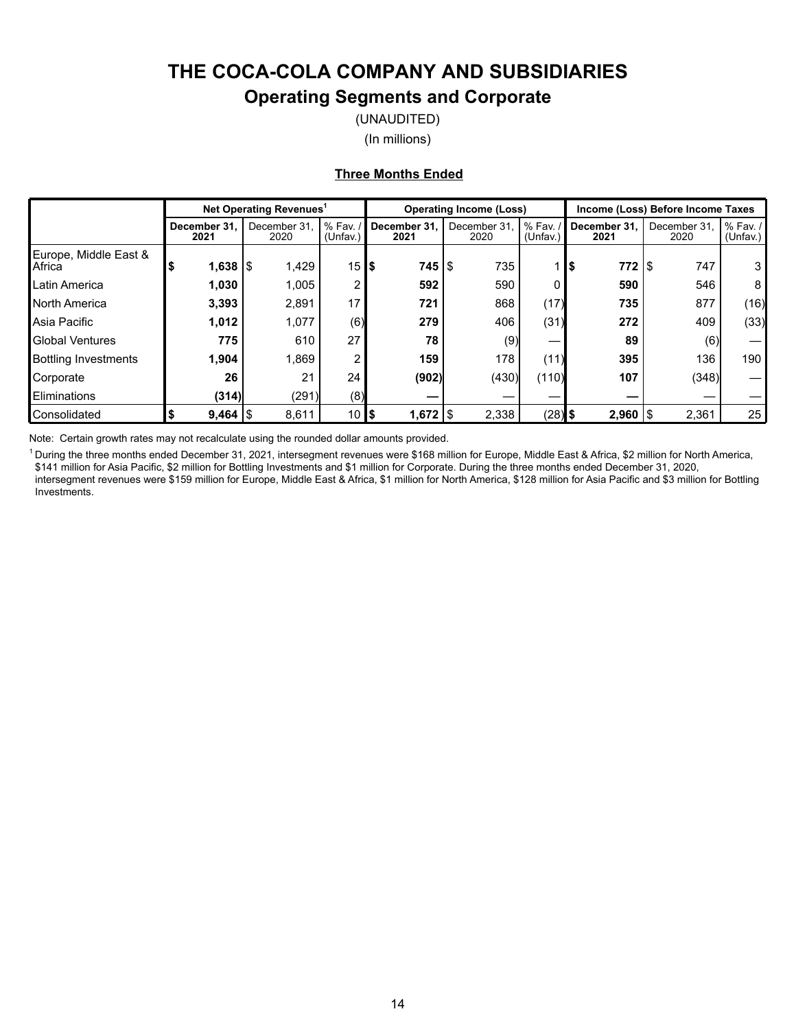## **THE COCA-COLA COMPANY AND SUBSIDIARIES Operating Segments and Corporate**

(UNAUDITED)

(In millions)

### **Three Months Ended**

|                                        | Net Operating Revenues <sup>1</sup> |              |                      |       |                      |  |                      | <b>Operating Income (Loss)</b> |                      | Income (Loss) Before Income Taxes |                      |              |  |       |      |  |  |  |  |  |  |  |  |  |  |  |                      |  |                      |
|----------------------------------------|-------------------------------------|--------------|----------------------|-------|----------------------|--|----------------------|--------------------------------|----------------------|-----------------------------------|----------------------|--------------|--|-------|------|--|--|--|--|--|--|--|--|--|--|--|----------------------|--|----------------------|
|                                        | December 31<br>2021                 |              | December 31.<br>2020 |       | % Fav. /<br>(Unfav.) |  | December 31.<br>2021 |                                | December 31.<br>2020 | % Fav.<br>(Unfav.)                | December 31.<br>2021 |              |  |       |      |  |  |  |  |  |  |  |  |  |  |  | December 31.<br>2020 |  | % Fav. /<br>(Unfav.) |
| Europe, Middle East &<br><b>Africa</b> |                                     | 1,638        | 1,429<br>1\$         |       | $15$ $\sqrt{5}$      |  | 745   \$             |                                | 735                  |                                   | l\$                  | 772          |  | 747   | 3    |  |  |  |  |  |  |  |  |  |  |  |                      |  |                      |
| Latin America                          |                                     | 1,030        | 1,005                |       | 2                    |  | 592                  |                                | 590                  |                                   |                      | 590          |  | 546   | 8    |  |  |  |  |  |  |  |  |  |  |  |                      |  |                      |
| North America                          |                                     | 3,393        | 2,891                |       | 17                   |  | 721                  |                                | 868                  | (17)                              |                      | 735          |  | 877   | (16) |  |  |  |  |  |  |  |  |  |  |  |                      |  |                      |
| l Asia Pacific                         |                                     | 1,012        | 1,077                |       | (6)                  |  | 279                  |                                | 406                  | (31)                              |                      | 272          |  | 409   | (33) |  |  |  |  |  |  |  |  |  |  |  |                      |  |                      |
| <b>Global Ventures</b>                 |                                     | 775          |                      | 610   | 27                   |  | 78                   |                                | (9)                  |                                   |                      | 89           |  | (6)   |      |  |  |  |  |  |  |  |  |  |  |  |                      |  |                      |
| <b>Bottling Investments</b>            |                                     | 1,904        | 1,869                |       | 2                    |  | 159                  |                                | 178                  | (11)                              |                      | 395          |  | 136   | 190  |  |  |  |  |  |  |  |  |  |  |  |                      |  |                      |
| Corporate                              |                                     | 26           |                      | 21    | 24                   |  | (902)                |                                | (430)                | (110)                             |                      | 107          |  | (348) |      |  |  |  |  |  |  |  |  |  |  |  |                      |  |                      |
| Eliminations                           |                                     | (314)        |                      | (291) | (8)                  |  |                      |                                |                      |                                   |                      |              |  |       |      |  |  |  |  |  |  |  |  |  |  |  |                      |  |                      |
| <b>Consolidated</b>                    | \$                                  | $9,464$   \$ | 8,611                |       | $10$   \$            |  | $1,672$ \\$          |                                | 2,338                | $(28)$ \$                         |                      | $2,960$   \$ |  | 2,361 | 25   |  |  |  |  |  |  |  |  |  |  |  |                      |  |                      |

Note: Certain growth rates may not recalculate using the rounded dollar amounts provided.

<sup>1</sup>During the three months ended December 31, 2021, intersegment revenues were \$168 million for Europe, Middle East & Africa, \$2 million for North America, \$141 million for Asia Pacific, \$2 million for Bottling Investments and \$1 million for Corporate. During the three months ended December 31, 2020, intersegment revenues were \$159 million for Europe, Middle East & Africa, \$1 million for North America, \$128 million for Asia Pacific and \$3 million for Bottling Investments.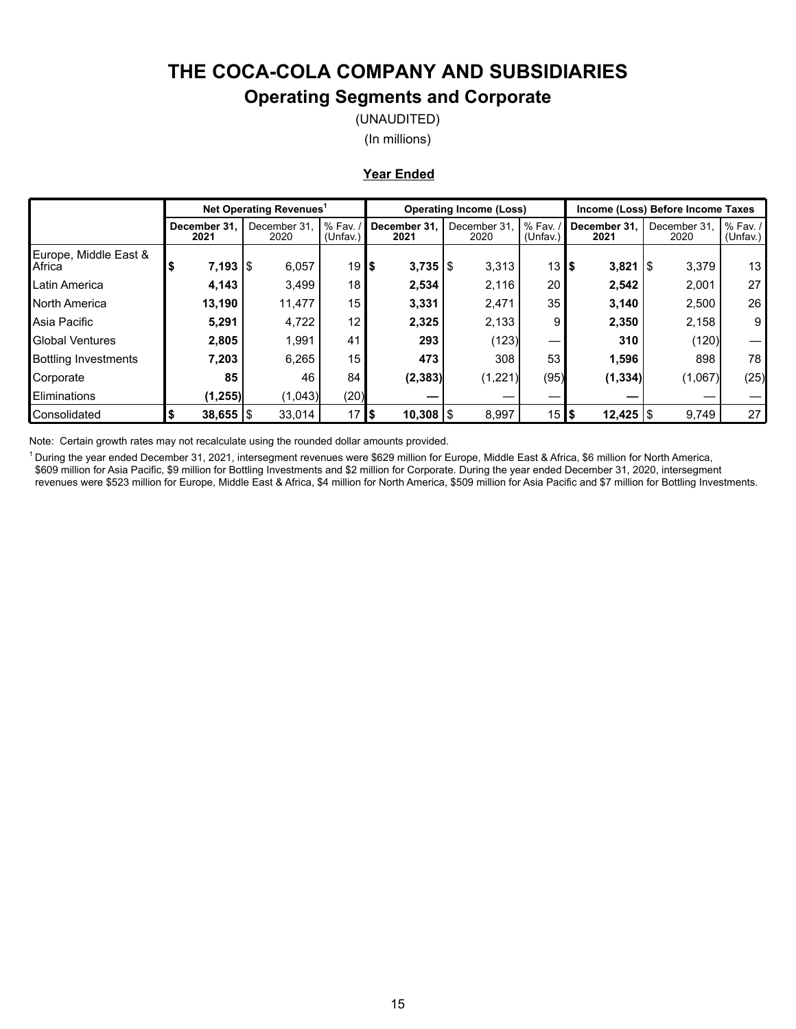## **THE COCA-COLA COMPANY AND SUBSIDIARIES Operating Segments and Corporate**

(UNAUDITED)

(In millions)

### **Year Ended**

|                                 |                            | Net Operating Revenues <sup>1</sup> |                      |                        | <b>Operating Income (Loss)</b> |                    | Income (Loss) Before Income Taxes |                      |                      |  |  |
|---------------------------------|----------------------------|-------------------------------------|----------------------|------------------------|--------------------------------|--------------------|-----------------------------------|----------------------|----------------------|--|--|
|                                 | December 31.<br>2021       | December 31.<br>2020                | % Fav. /<br>(Unfav.) | December 31.<br>2021   | December 31.<br>2020           | % Fav.<br>(Unfav.) | December 31.<br>2021              | December 31,<br>2020 | % Fav. /<br>(Unfav.) |  |  |
| Europe, Middle East &<br>Africa | $7,193$ $\frac{1}{9}$<br>S | 6,057                               | $19$ $\sqrt{5}$      | $3,735$ $\frac{1}{3}$  | 3,313                          | $13$ $\frac{1}{3}$ | $3,821$ \\$                       | 3,379                | 13 <sub>1</sub>      |  |  |
| l Latin America                 | 4,143                      | 3,499                               | 18                   | 2,534                  | 2,116                          | 20                 | 2,542                             | 2,001                | 27                   |  |  |
| North America                   | 13,190                     | 11,477                              | 15                   | 3,331                  | 2,471                          | 35                 | 3,140                             | 2.500                | 26                   |  |  |
| l Asia Pacific                  | 5,291                      | 4,722                               | 12 <sup>2</sup>      | 2,325                  | 2,133                          | 9                  | 2,350                             | 2,158                | 9                    |  |  |
| Global Ventures                 | 2,805                      | 1,991                               | 41                   | 293                    | (123)                          |                    | 310                               | (120)                |                      |  |  |
| <b>Bottling Investments</b>     | 7,203                      | 6,265                               | 15                   | 473                    | 308                            | 53                 | 1,596                             | 898                  | 78                   |  |  |
| Corporate                       | 85                         | 46                                  | 84                   | (2, 383)               | (1,221)                        | (95)               | (1, 334)                          | (1,067)              | (25)                 |  |  |
| Eliminations                    | (1,255)                    | (1,043)                             | (20)                 |                        |                                |                    |                                   |                      |                      |  |  |
| Consolidated                    | $38,655$ $\frac{8}{3}$     | 33,014                              | $17$ $\sqrt{5}$      | $10,308$ $\frac{1}{5}$ | 8,997                          | $15$ $\sqrt{5}$    | $12,425$   \$                     | 9.749                | 27                   |  |  |

Note: Certain growth rates may not recalculate using the rounded dollar amounts provided.

<sup>1</sup> During the year ended December 31, 2021, intersegment revenues were \$629 million for Europe, Middle East & Africa, \$6 million for North America, \$609 million for Asia Pacific, \$9 million for Bottling Investments and \$2 million for Corporate. During the year ended December 31, 2020, intersegment revenues were \$523 million for Europe, Middle East & Africa, \$4 million for North America, \$509 million for Asia Pacific and \$7 million for Bottling Investments.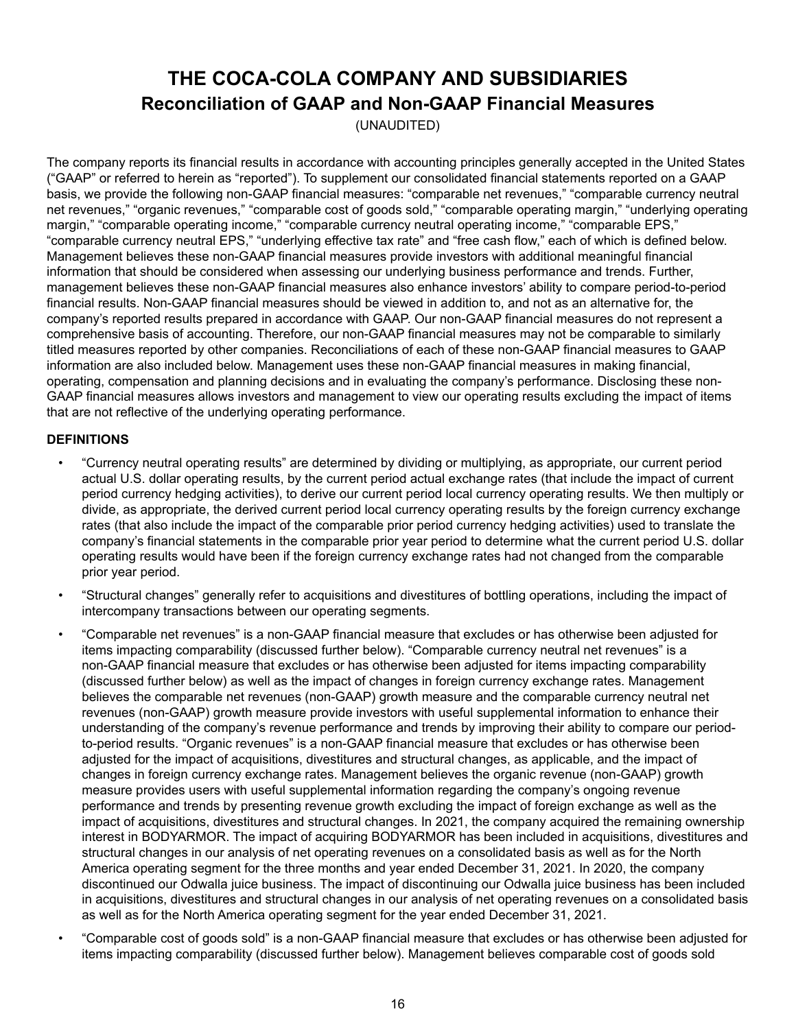(UNAUDITED)

The company reports its financial results in accordance with accounting principles generally accepted in the United States ("GAAP" or referred to herein as "reported"). To supplement our consolidated financial statements reported on a GAAP basis, we provide the following non-GAAP financial measures: "comparable net revenues," "comparable currency neutral net revenues," "organic revenues," "comparable cost of goods sold," "comparable operating margin," "underlying operating margin," "comparable operating income," "comparable currency neutral operating income," "comparable EPS," "comparable currency neutral EPS," "underlying effective tax rate" and "free cash flow," each of which is defined below. Management believes these non-GAAP financial measures provide investors with additional meaningful financial information that should be considered when assessing our underlying business performance and trends. Further, management believes these non-GAAP financial measures also enhance investors' ability to compare period-to-period financial results. Non-GAAP financial measures should be viewed in addition to, and not as an alternative for, the company's reported results prepared in accordance with GAAP. Our non-GAAP financial measures do not represent a comprehensive basis of accounting. Therefore, our non-GAAP financial measures may not be comparable to similarly titled measures reported by other companies. Reconciliations of each of these non-GAAP financial measures to GAAP information are also included below. Management uses these non-GAAP financial measures in making financial, operating, compensation and planning decisions and in evaluating the company's performance. Disclosing these non-GAAP financial measures allows investors and management to view our operating results excluding the impact of items that are not reflective of the underlying operating performance.

### **DEFINITIONS**

- "Currency neutral operating results" are determined by dividing or multiplying, as appropriate, our current period actual U.S. dollar operating results, by the current period actual exchange rates (that include the impact of current period currency hedging activities), to derive our current period local currency operating results. We then multiply or divide, as appropriate, the derived current period local currency operating results by the foreign currency exchange rates (that also include the impact of the comparable prior period currency hedging activities) used to translate the company's financial statements in the comparable prior year period to determine what the current period U.S. dollar operating results would have been if the foreign currency exchange rates had not changed from the comparable prior year period.
- "Structural changes" generally refer to acquisitions and divestitures of bottling operations, including the impact of intercompany transactions between our operating segments.
- "Comparable net revenues" is a non-GAAP financial measure that excludes or has otherwise been adjusted for items impacting comparability (discussed further below). "Comparable currency neutral net revenues" is a non-GAAP financial measure that excludes or has otherwise been adjusted for items impacting comparability (discussed further below) as well as the impact of changes in foreign currency exchange rates. Management believes the comparable net revenues (non-GAAP) growth measure and the comparable currency neutral net revenues (non-GAAP) growth measure provide investors with useful supplemental information to enhance their understanding of the company's revenue performance and trends by improving their ability to compare our periodto-period results. "Organic revenues" is a non-GAAP financial measure that excludes or has otherwise been adjusted for the impact of acquisitions, divestitures and structural changes, as applicable, and the impact of changes in foreign currency exchange rates. Management believes the organic revenue (non-GAAP) growth measure provides users with useful supplemental information regarding the company's ongoing revenue performance and trends by presenting revenue growth excluding the impact of foreign exchange as well as the impact of acquisitions, divestitures and structural changes. In 2021, the company acquired the remaining ownership interest in BODYARMOR. The impact of acquiring BODYARMOR has been included in acquisitions, divestitures and structural changes in our analysis of net operating revenues on a consolidated basis as well as for the North America operating segment for the three months and year ended December 31, 2021. In 2020, the company discontinued our Odwalla juice business. The impact of discontinuing our Odwalla juice business has been included in acquisitions, divestitures and structural changes in our analysis of net operating revenues on a consolidated basis as well as for the North America operating segment for the year ended December 31, 2021.
- "Comparable cost of goods sold" is a non-GAAP financial measure that excludes or has otherwise been adjusted for items impacting comparability (discussed further below). Management believes comparable cost of goods sold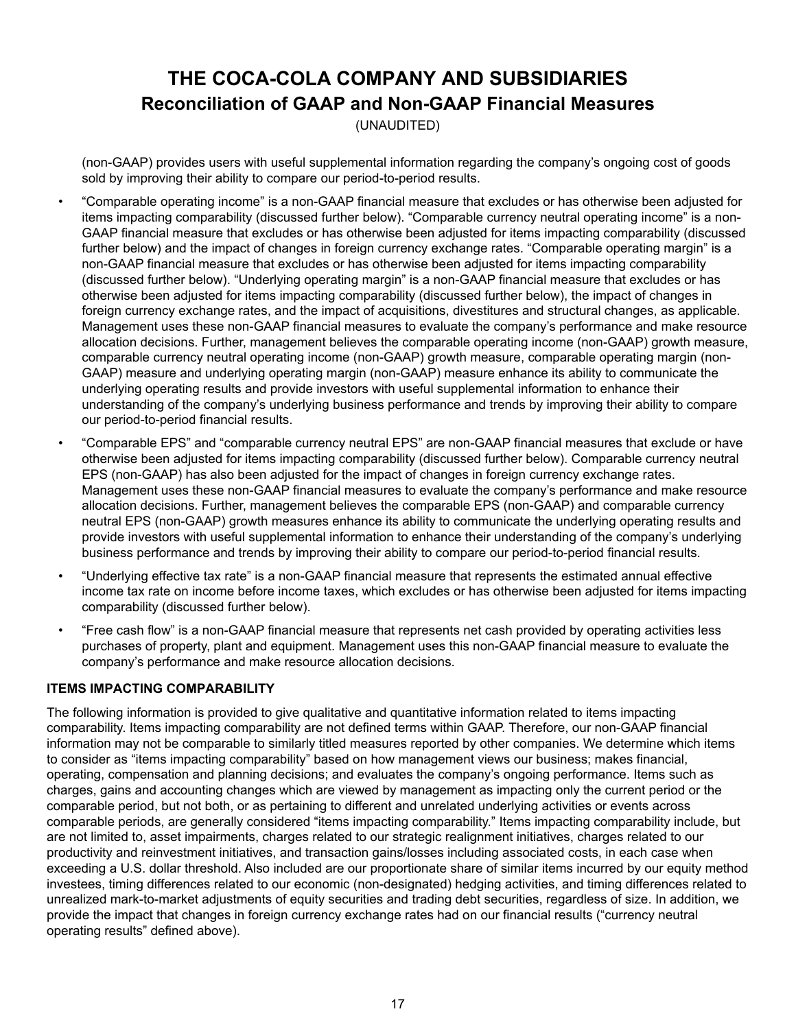(UNAUDITED)

(non-GAAP) provides users with useful supplemental information regarding the company's ongoing cost of goods sold by improving their ability to compare our period-to-period results.

- "Comparable operating income" is a non-GAAP financial measure that excludes or has otherwise been adjusted for items impacting comparability (discussed further below). "Comparable currency neutral operating income" is a non-GAAP financial measure that excludes or has otherwise been adjusted for items impacting comparability (discussed further below) and the impact of changes in foreign currency exchange rates. "Comparable operating margin" is a non-GAAP financial measure that excludes or has otherwise been adjusted for items impacting comparability (discussed further below). "Underlying operating margin" is a non-GAAP financial measure that excludes or has otherwise been adjusted for items impacting comparability (discussed further below), the impact of changes in foreign currency exchange rates, and the impact of acquisitions, divestitures and structural changes, as applicable. Management uses these non-GAAP financial measures to evaluate the company's performance and make resource allocation decisions. Further, management believes the comparable operating income (non-GAAP) growth measure, comparable currency neutral operating income (non-GAAP) growth measure, comparable operating margin (non-GAAP) measure and underlying operating margin (non-GAAP) measure enhance its ability to communicate the underlying operating results and provide investors with useful supplemental information to enhance their understanding of the company's underlying business performance and trends by improving their ability to compare our period-to-period financial results.
- "Comparable EPS" and "comparable currency neutral EPS" are non-GAAP financial measures that exclude or have otherwise been adjusted for items impacting comparability (discussed further below). Comparable currency neutral EPS (non-GAAP) has also been adjusted for the impact of changes in foreign currency exchange rates. Management uses these non-GAAP financial measures to evaluate the company's performance and make resource allocation decisions. Further, management believes the comparable EPS (non-GAAP) and comparable currency neutral EPS (non-GAAP) growth measures enhance its ability to communicate the underlying operating results and provide investors with useful supplemental information to enhance their understanding of the company's underlying business performance and trends by improving their ability to compare our period-to-period financial results.
- "Underlying effective tax rate" is a non-GAAP financial measure that represents the estimated annual effective income tax rate on income before income taxes, which excludes or has otherwise been adjusted for items impacting comparability (discussed further below).
- "Free cash flow" is a non-GAAP financial measure that represents net cash provided by operating activities less purchases of property, plant and equipment. Management uses this non-GAAP financial measure to evaluate the company's performance and make resource allocation decisions.

### **ITEMS IMPACTING COMPARABILITY**

The following information is provided to give qualitative and quantitative information related to items impacting comparability. Items impacting comparability are not defined terms within GAAP. Therefore, our non-GAAP financial information may not be comparable to similarly titled measures reported by other companies. We determine which items to consider as "items impacting comparability" based on how management views our business; makes financial, operating, compensation and planning decisions; and evaluates the company's ongoing performance. Items such as charges, gains and accounting changes which are viewed by management as impacting only the current period or the comparable period, but not both, or as pertaining to different and unrelated underlying activities or events across comparable periods, are generally considered "items impacting comparability." Items impacting comparability include, but are not limited to, asset impairments, charges related to our strategic realignment initiatives, charges related to our productivity and reinvestment initiatives, and transaction gains/losses including associated costs, in each case when exceeding a U.S. dollar threshold. Also included are our proportionate share of similar items incurred by our equity method investees, timing differences related to our economic (non-designated) hedging activities, and timing differences related to unrealized mark-to-market adjustments of equity securities and trading debt securities, regardless of size. In addition, we provide the impact that changes in foreign currency exchange rates had on our financial results ("currency neutral operating results" defined above).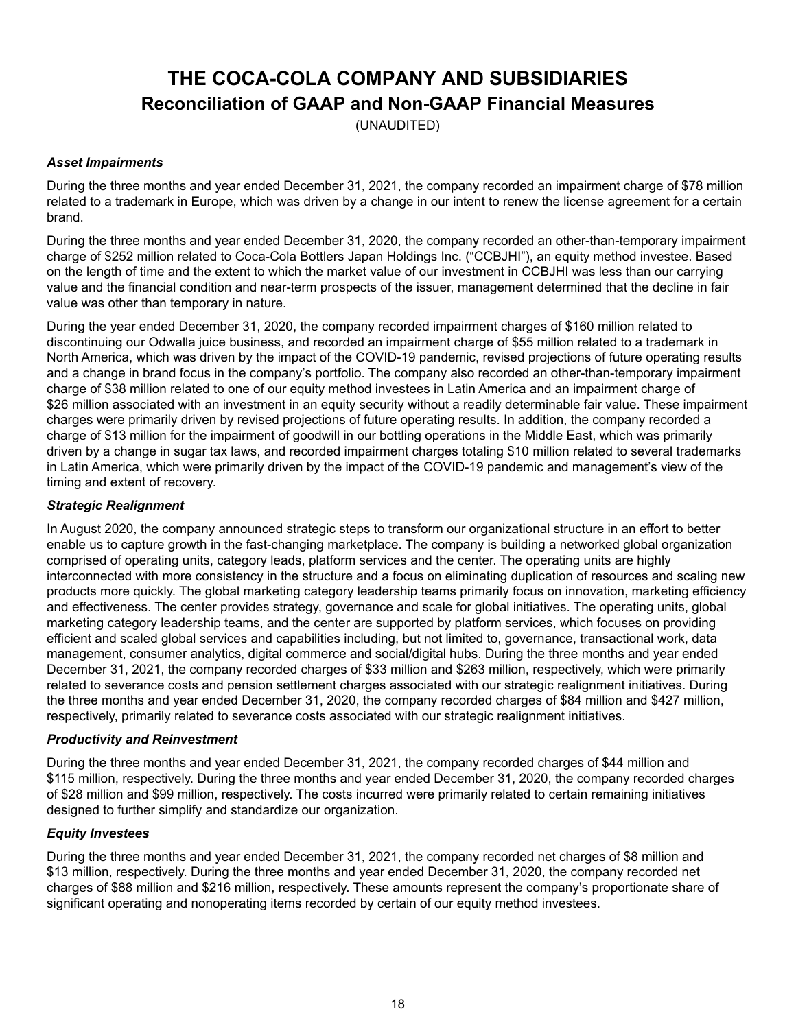(UNAUDITED)

### *Asset Impairments*

During the three months and year ended December 31, 2021, the company recorded an impairment charge of \$78 million related to a trademark in Europe, which was driven by a change in our intent to renew the license agreement for a certain brand.

During the three months and year ended December 31, 2020, the company recorded an other-than-temporary impairment charge of \$252 million related to Coca-Cola Bottlers Japan Holdings Inc. ("CCBJHI"), an equity method investee. Based on the length of time and the extent to which the market value of our investment in CCBJHI was less than our carrying value and the financial condition and near-term prospects of the issuer, management determined that the decline in fair value was other than temporary in nature.

During the year ended December 31, 2020, the company recorded impairment charges of \$160 million related to discontinuing our Odwalla juice business, and recorded an impairment charge of \$55 million related to a trademark in North America, which was driven by the impact of the COVID-19 pandemic, revised projections of future operating results and a change in brand focus in the company's portfolio. The company also recorded an other-than-temporary impairment charge of \$38 million related to one of our equity method investees in Latin America and an impairment charge of \$26 million associated with an investment in an equity security without a readily determinable fair value. These impairment charges were primarily driven by revised projections of future operating results. In addition, the company recorded a charge of \$13 million for the impairment of goodwill in our bottling operations in the Middle East, which was primarily driven by a change in sugar tax laws, and recorded impairment charges totaling \$10 million related to several trademarks in Latin America, which were primarily driven by the impact of the COVID-19 pandemic and management's view of the timing and extent of recovery.

### *Strategic Realignment*

In August 2020, the company announced strategic steps to transform our organizational structure in an effort to better enable us to capture growth in the fast-changing marketplace. The company is building a networked global organization comprised of operating units, category leads, platform services and the center. The operating units are highly interconnected with more consistency in the structure and a focus on eliminating duplication of resources and scaling new products more quickly. The global marketing category leadership teams primarily focus on innovation, marketing efficiency and effectiveness. The center provides strategy, governance and scale for global initiatives. The operating units, global marketing category leadership teams, and the center are supported by platform services, which focuses on providing efficient and scaled global services and capabilities including, but not limited to, governance, transactional work, data management, consumer analytics, digital commerce and social/digital hubs. During the three months and year ended December 31, 2021, the company recorded charges of \$33 million and \$263 million, respectively, which were primarily related to severance costs and pension settlement charges associated with our strategic realignment initiatives. During the three months and year ended December 31, 2020, the company recorded charges of \$84 million and \$427 million, respectively, primarily related to severance costs associated with our strategic realignment initiatives.

### *Productivity and Reinvestment*

During the three months and year ended December 31, 2021, the company recorded charges of \$44 million and \$115 million, respectively. During the three months and year ended December 31, 2020, the company recorded charges of \$28 million and \$99 million, respectively. The costs incurred were primarily related to certain remaining initiatives designed to further simplify and standardize our organization.

### *Equity Investees*

During the three months and year ended December 31, 2021, the company recorded net charges of \$8 million and \$13 million, respectively. During the three months and year ended December 31, 2020, the company recorded net charges of \$88 million and \$216 million, respectively. These amounts represent the company's proportionate share of significant operating and nonoperating items recorded by certain of our equity method investees.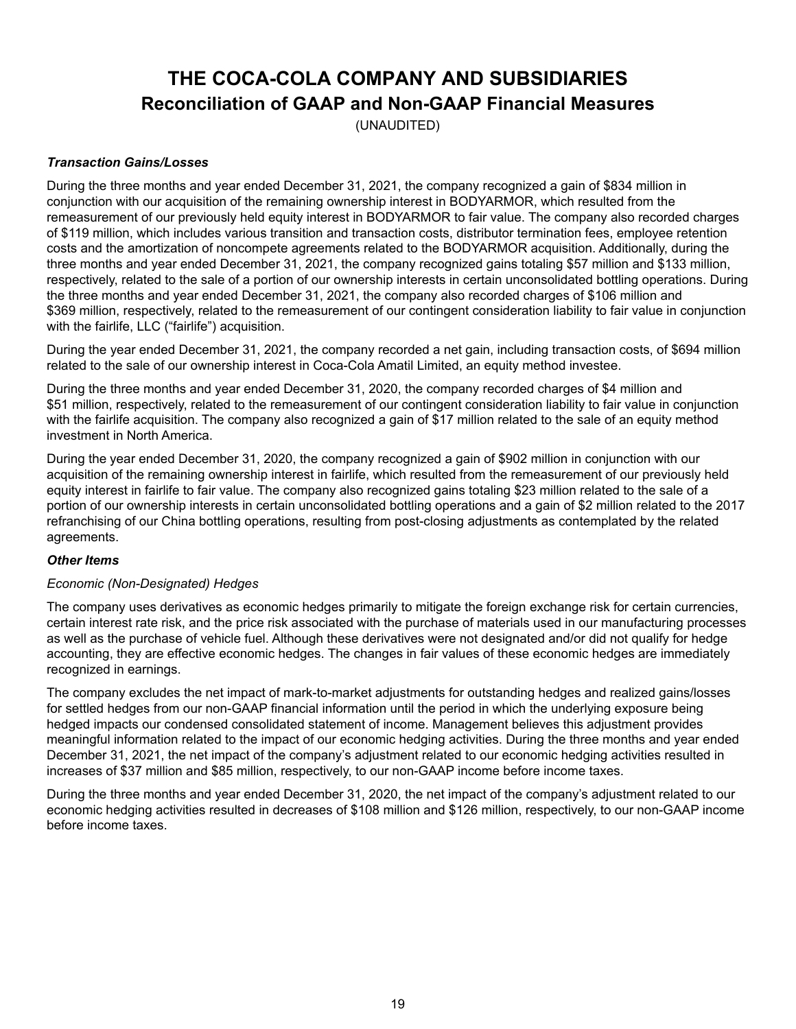(UNAUDITED)

### *Transaction Gains/Losses*

During the three months and year ended December 31, 2021, the company recognized a gain of \$834 million in conjunction with our acquisition of the remaining ownership interest in BODYARMOR, which resulted from the remeasurement of our previously held equity interest in BODYARMOR to fair value. The company also recorded charges of \$119 million, which includes various transition and transaction costs, distributor termination fees, employee retention costs and the amortization of noncompete agreements related to the BODYARMOR acquisition. Additionally, during the three months and year ended December 31, 2021, the company recognized gains totaling \$57 million and \$133 million, respectively, related to the sale of a portion of our ownership interests in certain unconsolidated bottling operations. During the three months and year ended December 31, 2021, the company also recorded charges of \$106 million and \$369 million, respectively, related to the remeasurement of our contingent consideration liability to fair value in conjunction with the fairlife, LLC ("fairlife") acquisition.

During the year ended December 31, 2021, the company recorded a net gain, including transaction costs, of \$694 million related to the sale of our ownership interest in Coca-Cola Amatil Limited, an equity method investee.

During the three months and year ended December 31, 2020, the company recorded charges of \$4 million and \$51 million, respectively, related to the remeasurement of our contingent consideration liability to fair value in conjunction with the fairlife acquisition. The company also recognized a gain of \$17 million related to the sale of an equity method investment in North America.

During the year ended December 31, 2020, the company recognized a gain of \$902 million in conjunction with our acquisition of the remaining ownership interest in fairlife, which resulted from the remeasurement of our previously held equity interest in fairlife to fair value. The company also recognized gains totaling \$23 million related to the sale of a portion of our ownership interests in certain unconsolidated bottling operations and a gain of \$2 million related to the 2017 refranchising of our China bottling operations, resulting from post-closing adjustments as contemplated by the related agreements.

### *Other Items*

### *Economic (Non-Designated) Hedges*

The company uses derivatives as economic hedges primarily to mitigate the foreign exchange risk for certain currencies, certain interest rate risk, and the price risk associated with the purchase of materials used in our manufacturing processes as well as the purchase of vehicle fuel. Although these derivatives were not designated and/or did not qualify for hedge accounting, they are effective economic hedges. The changes in fair values of these economic hedges are immediately recognized in earnings.

The company excludes the net impact of mark-to-market adjustments for outstanding hedges and realized gains/losses for settled hedges from our non-GAAP financial information until the period in which the underlying exposure being hedged impacts our condensed consolidated statement of income. Management believes this adjustment provides meaningful information related to the impact of our economic hedging activities. During the three months and year ended December 31, 2021, the net impact of the company's adjustment related to our economic hedging activities resulted in increases of \$37 million and \$85 million, respectively, to our non-GAAP income before income taxes.

During the three months and year ended December 31, 2020, the net impact of the company's adjustment related to our economic hedging activities resulted in decreases of \$108 million and \$126 million, respectively, to our non-GAAP income before income taxes.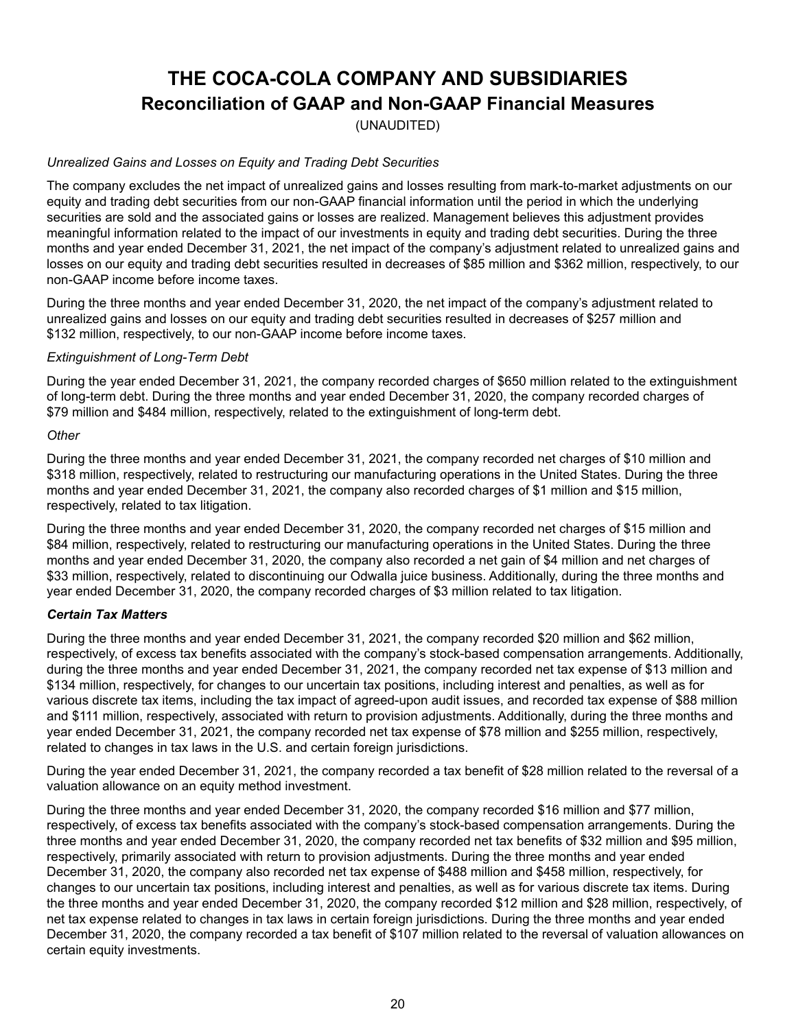(UNAUDITED)

### *Unrealized Gains and Losses on Equity and Trading Debt Securities*

The company excludes the net impact of unrealized gains and losses resulting from mark-to-market adjustments on our equity and trading debt securities from our non-GAAP financial information until the period in which the underlying securities are sold and the associated gains or losses are realized. Management believes this adjustment provides meaningful information related to the impact of our investments in equity and trading debt securities. During the three months and year ended December 31, 2021, the net impact of the company's adjustment related to unrealized gains and losses on our equity and trading debt securities resulted in decreases of \$85 million and \$362 million, respectively, to our non-GAAP income before income taxes.

During the three months and year ended December 31, 2020, the net impact of the company's adjustment related to unrealized gains and losses on our equity and trading debt securities resulted in decreases of \$257 million and \$132 million, respectively, to our non-GAAP income before income taxes.

### *Extinguishment of Long-Term Debt*

During the year ended December 31, 2021, the company recorded charges of \$650 million related to the extinguishment of long-term debt. During the three months and year ended December 31, 2020, the company recorded charges of \$79 million and \$484 million, respectively, related to the extinguishment of long-term debt.

### *Other*

During the three months and year ended December 31, 2021, the company recorded net charges of \$10 million and \$318 million, respectively, related to restructuring our manufacturing operations in the United States. During the three months and year ended December 31, 2021, the company also recorded charges of \$1 million and \$15 million, respectively, related to tax litigation.

During the three months and year ended December 31, 2020, the company recorded net charges of \$15 million and \$84 million, respectively, related to restructuring our manufacturing operations in the United States. During the three months and year ended December 31, 2020, the company also recorded a net gain of \$4 million and net charges of \$33 million, respectively, related to discontinuing our Odwalla juice business. Additionally, during the three months and year ended December 31, 2020, the company recorded charges of \$3 million related to tax litigation.

### *Certain Tax Matters*

During the three months and year ended December 31, 2021, the company recorded \$20 million and \$62 million, respectively, of excess tax benefits associated with the company's stock-based compensation arrangements. Additionally, during the three months and year ended December 31, 2021, the company recorded net tax expense of \$13 million and \$134 million, respectively, for changes to our uncertain tax positions, including interest and penalties, as well as for various discrete tax items, including the tax impact of agreed-upon audit issues, and recorded tax expense of \$88 million and \$111 million, respectively, associated with return to provision adjustments. Additionally, during the three months and year ended December 31, 2021, the company recorded net tax expense of \$78 million and \$255 million, respectively, related to changes in tax laws in the U.S. and certain foreign jurisdictions.

During the year ended December 31, 2021, the company recorded a tax benefit of \$28 million related to the reversal of a valuation allowance on an equity method investment.

During the three months and year ended December 31, 2020, the company recorded \$16 million and \$77 million, respectively, of excess tax benefits associated with the company's stock-based compensation arrangements. During the three months and year ended December 31, 2020, the company recorded net tax benefits of \$32 million and \$95 million, respectively, primarily associated with return to provision adjustments. During the three months and year ended December 31, 2020, the company also recorded net tax expense of \$488 million and \$458 million, respectively, for changes to our uncertain tax positions, including interest and penalties, as well as for various discrete tax items. During the three months and year ended December 31, 2020, the company recorded \$12 million and \$28 million, respectively, of net tax expense related to changes in tax laws in certain foreign jurisdictions. During the three months and year ended December 31, 2020, the company recorded a tax benefit of \$107 million related to the reversal of valuation allowances on certain equity investments.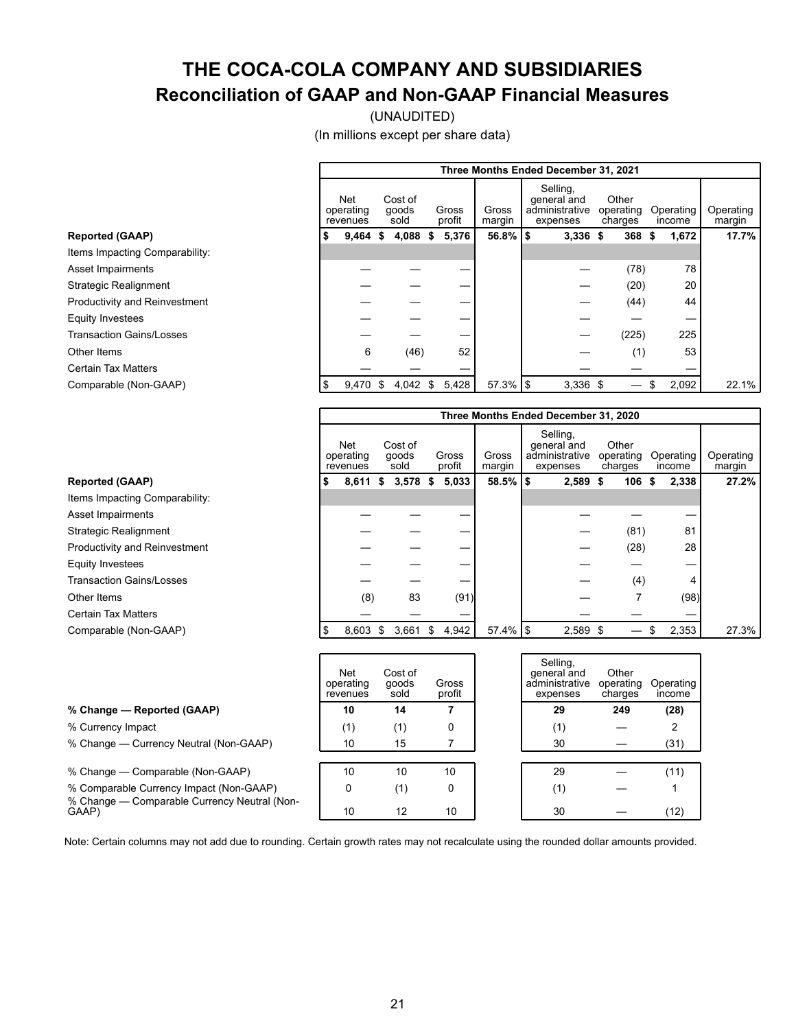(UNAUDITED)

(In millions except per share data)

|                                 | Three Months Ended December 31, 2021 |                          |                 |                 |                                                       |                               |                     |                     |  |
|---------------------------------|--------------------------------------|--------------------------|-----------------|-----------------|-------------------------------------------------------|-------------------------------|---------------------|---------------------|--|
|                                 | Net<br>operating<br>revenues         | Cost of<br>goods<br>sold | Gross<br>profit | Gross<br>margin | Selling,<br>general and<br>administrative<br>expenses | Other<br>operating<br>charges | Operating<br>income | Operating<br>margin |  |
| <b>Reported (GAAP)</b>          | 9,464                                | \$<br>4,088              | 5,376<br>\$     | $56.8\%$   \$   | $3,336$ \$                                            | 368 \$                        | 1,672               | 17.7%               |  |
| Items Impacting Comparability:  |                                      |                          |                 |                 |                                                       |                               |                     |                     |  |
| Asset Impairments               |                                      |                          |                 |                 |                                                       | (78)                          | 78                  |                     |  |
| <b>Strategic Realignment</b>    |                                      |                          |                 |                 |                                                       | (20)                          | 20                  |                     |  |
| Productivity and Reinvestment   |                                      |                          |                 |                 |                                                       | (44)                          | 44                  |                     |  |
| <b>Equity Investees</b>         |                                      |                          |                 |                 |                                                       |                               |                     |                     |  |
| <b>Transaction Gains/Losses</b> |                                      |                          |                 |                 |                                                       | (225)                         | 225                 |                     |  |
| Other Items                     | 6                                    | (46)                     | 52              |                 |                                                       | (1)                           | 53                  |                     |  |
| <b>Certain Tax Matters</b>      |                                      |                          |                 |                 |                                                       |                               |                     |                     |  |
| Comparable (Non-GAAP)           | \$<br>$9,470$ \$                     | $4,042$ \$               | 5,428           | $57.3\%$ \\$    | $3,336$ \$                                            |                               | 2,092<br>\$         | 22.1%               |  |
|                                 |                                      |                          |                 |                 |                                                       |                               |                     |                     |  |
|                                 | Three Months Ended December 31, 2020 |                          |                 |                 |                                                       |                               |                     |                     |  |
|                                 |                                      |                          |                 |                 | Selling,                                              |                               |                     |                     |  |

|                                      | Net<br>operating<br>revenues | Cost of<br>goods<br>sold | Gross<br>profit | Gross<br>margin | Selling,<br>general and<br>administrative<br>expenses | Other<br>operating<br>charges | Operating<br>income | Operating<br>margin |
|--------------------------------------|------------------------------|--------------------------|-----------------|-----------------|-------------------------------------------------------|-------------------------------|---------------------|---------------------|
| <b>Reported (GAAP)</b>               | $8,611$ \$                   | $3,578$ \$               | 5,033           | $58.5\%$   \$   | $2,589$ \$                                            | 106                           | \$<br>2,338         | 27.2%               |
| Items Impacting Comparability:       |                              |                          |                 |                 |                                                       |                               |                     |                     |
| Asset Impairments                    |                              |                          |                 |                 |                                                       |                               |                     |                     |
| <b>Strategic Realignment</b>         |                              |                          |                 |                 |                                                       | (81)                          | 81                  |                     |
| <b>Productivity and Reinvestment</b> |                              |                          |                 |                 |                                                       | (28)                          | 28                  |                     |
| <b>Equity Investees</b>              |                              |                          |                 |                 |                                                       |                               |                     |                     |
| Transaction Gains/Losses             |                              |                          |                 |                 |                                                       | (4)                           | 4                   |                     |
| Other Items                          | (8)                          | 83                       | (91)            |                 |                                                       |                               | (98)                |                     |
| Certain Tax Matters                  |                              |                          |                 |                 |                                                       |                               |                     |                     |
| Comparable (Non-GAAP)                | \$<br>$8,603$ \$             | 3,661                    | \$<br>4,942     | $57.4\%$ \\$    | $2,589$ \$                                            |                               | \$<br>2,353         | 27.3%               |
|                                      |                              |                          |                 |                 | Selling,                                              |                               |                     |                     |
|                                      | Net                          | Cost of                  |                 |                 | general and                                           | Other                         |                     |                     |

|                                                       | <b>Net</b><br>operating<br>revenues | Cost of<br>goods<br>sold | Gross<br>profit | general and<br>administrative<br>expenses | Other<br>operating<br>charges | Operating<br>income |
|-------------------------------------------------------|-------------------------------------|--------------------------|-----------------|-------------------------------------------|-------------------------------|---------------------|
| % Change — Reported (GAAP)                            | 10                                  | 14                       |                 | 29                                        | 249                           | (28)                |
| % Currency Impact                                     | (1)                                 | (1)                      | 0               | (1)                                       |                               | 2                   |
| % Change — Currency Neutral (Non-GAAP)                | 10                                  | 15                       |                 | 30                                        |                               | (31)                |
|                                                       |                                     |                          |                 |                                           |                               |                     |
| % Change - Comparable (Non-GAAP)                      | 10                                  | 10                       | 10              | 29                                        |                               | (11)                |
| % Comparable Currency Impact (Non-GAAP)               | 0                                   | (1)                      | 0               | (1)                                       |                               |                     |
| % Change — Comparable Currency Neutral (Non-<br>GAAP) | 10                                  | 12                       | 10              | 30                                        |                               | (12)                |
|                                                       |                                     |                          |                 |                                           |                               |                     |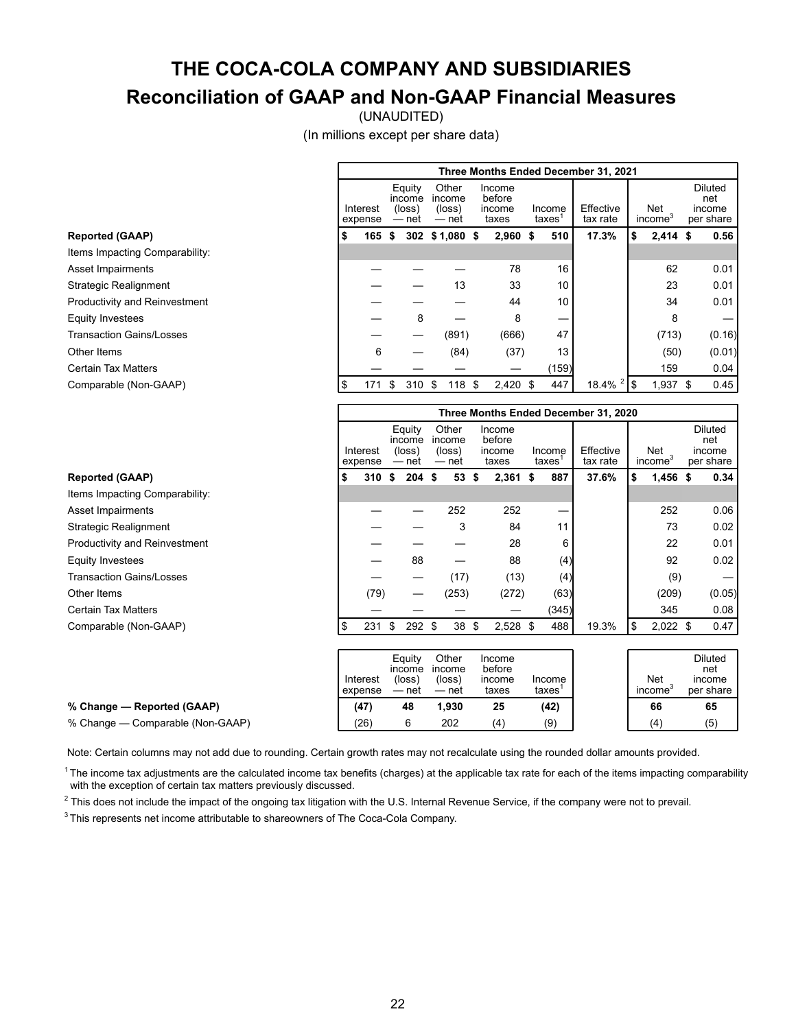**THE COCA-COLA COMPANY AND SUBSIDIARIES**

## **Reconciliation of GAAP and Non-GAAP Financial Measures**

(UNAUDITED)

(In millions except per share data)

|                                      | Three Months Ended December 31, 2021 |                     |                                                |                                      |                                      |                              |                       |    |                                   |                |                                              |
|--------------------------------------|--------------------------------------|---------------------|------------------------------------------------|--------------------------------------|--------------------------------------|------------------------------|-----------------------|----|-----------------------------------|----------------|----------------------------------------------|
|                                      |                                      | Interest<br>expense | Equity<br>income<br>$(\text{loss})$<br>$-$ net | Other<br>income<br>(loss)<br>$-$ net | Income<br>before<br>income<br>taxes  | Income<br>taxes <sup>1</sup> | Effective<br>tax rate |    | Net<br>income <sup>3</sup>        |                | <b>Diluted</b><br>net<br>income<br>per share |
| <b>Reported (GAAP)</b>               | \$                                   | 165S                |                                                | 302 \$1,080 \$                       | $2,960$ \$                           | 510                          | 17.3%                 | \$ | $2,414$ \$                        |                | 0.56                                         |
| Items Impacting Comparability:       |                                      |                     |                                                |                                      |                                      |                              |                       |    |                                   |                |                                              |
| <b>Asset Impairments</b>             |                                      |                     |                                                |                                      | 78                                   | 16                           |                       |    | 62                                |                | 0.01                                         |
| <b>Strategic Realignment</b>         |                                      |                     |                                                | 13                                   | 33                                   | 10                           |                       |    | 23                                |                | 0.01                                         |
| <b>Productivity and Reinvestment</b> |                                      |                     |                                                |                                      | 44                                   | 10                           |                       |    | 34                                |                | 0.01                                         |
| <b>Equity Investees</b>              |                                      |                     | 8                                              |                                      | 8                                    |                              |                       |    | 8                                 |                |                                              |
| <b>Transaction Gains/Losses</b>      |                                      |                     |                                                | (891)                                | (666)                                | 47                           |                       |    | (713)                             |                | (0.16)                                       |
| Other Items                          |                                      | 6                   |                                                | (84)                                 | (37)                                 | 13                           |                       |    | (50)                              |                | (0.01)                                       |
| <b>Certain Tax Matters</b>           |                                      |                     |                                                |                                      |                                      | (159)                        |                       |    | 159                               |                | 0.04                                         |
| Comparable (Non-GAAP)                | \$                                   | 171                 | \$<br>310 \$                                   | 118 \$                               | $2,420$ \$                           | 447                          | 18.4% <sup>2</sup>    | \$ | 1,937 \$                          |                | 0.45                                         |
|                                      |                                      |                     |                                                |                                      |                                      |                              |                       |    |                                   |                |                                              |
|                                      |                                      |                     |                                                |                                      |                                      |                              |                       |    |                                   |                |                                              |
|                                      |                                      |                     |                                                |                                      | Three Months Ended December 31, 2020 |                              |                       |    |                                   |                |                                              |
|                                      |                                      |                     | Equity<br>income                               | Other<br>income                      | Income<br>before                     |                              |                       |    |                                   | <b>Diluted</b> | net                                          |
|                                      |                                      | Interest            | (loss)                                         | $(\text{loss})$                      | income                               | Income                       | Effective             |    | Net                               |                | income                                       |
| <b>Reported (GAAP)</b>               | \$                                   | expense<br>310S     | $-$ net<br>204S                                | — net<br>53S                         | taxes                                | taxes <sup>1</sup><br>887    | tax rate<br>37.6%     | \$ | income <sup>3</sup><br>$1,456$ \$ |                | per share<br>0.34                            |
| Items Impacting Comparability:       |                                      |                     |                                                |                                      | $2,361$ \$                           |                              |                       |    |                                   |                |                                              |
| Asset Impairments                    |                                      |                     |                                                | 252                                  | 252                                  |                              |                       |    | 252                               |                | 0.06                                         |
| <b>Strategic Realignment</b>         |                                      |                     |                                                | 3                                    | 84                                   | 11                           |                       |    | 73                                |                | 0.02                                         |
| Productivity and Reinvestment        |                                      |                     |                                                |                                      | 28                                   | 6                            |                       |    | 22                                |                | 0.01                                         |
| <b>Equity Investees</b>              |                                      |                     | 88                                             |                                      | 88                                   | (4)                          |                       |    | 92                                |                | 0.02                                         |
| <b>Transaction Gains/Losses</b>      |                                      |                     |                                                | (17)                                 | (13)                                 | (4)                          |                       |    | (9)                               |                |                                              |
| Other Items                          |                                      | (79)                |                                                | (253)                                | (272)                                | (63)                         |                       |    | (209)                             |                | (0.05)                                       |
| <b>Certain Tax Matters</b>           |                                      |                     |                                                |                                      |                                      | (345)                        |                       |    | 345                               |                | 0.08                                         |

|                                  | Interest<br>expense | Eauitv<br>income<br>(loss)<br>— net | Other<br><b>Income</b><br>$(\text{loss})$<br>— net | Income<br>before<br>income<br>taxes | Income<br>taxes | Net<br>income | <b>Diluted</b><br>net<br>income<br>per share |
|----------------------------------|---------------------|-------------------------------------|----------------------------------------------------|-------------------------------------|-----------------|---------------|----------------------------------------------|
| % Change — Reported (GAAP)       | (47)                | 48                                  | 1.930                                              | 25                                  | (42)            | 66            | 65                                           |
| % Change — Comparable (Non-GAAP) | (26)                | 6                                   | 202                                                | (4)                                 | (9)             | (4)           | (5)                                          |

Note: Certain columns may not add due to rounding. Certain growth rates may not recalculate using the rounded dollar amounts provided.

<sup>1</sup> The income tax adjustments are the calculated income tax benefits (charges) at the applicable tax rate for each of the items impacting comparability with the exception of certain tax matters previously discussed.

 $^2$  This does not include the impact of the ongoing tax litigation with the U.S. Internal Revenue Service, if the company were not to prevail.

<sup>3</sup> This represents net income attributable to shareowners of The Coca-Cola Company.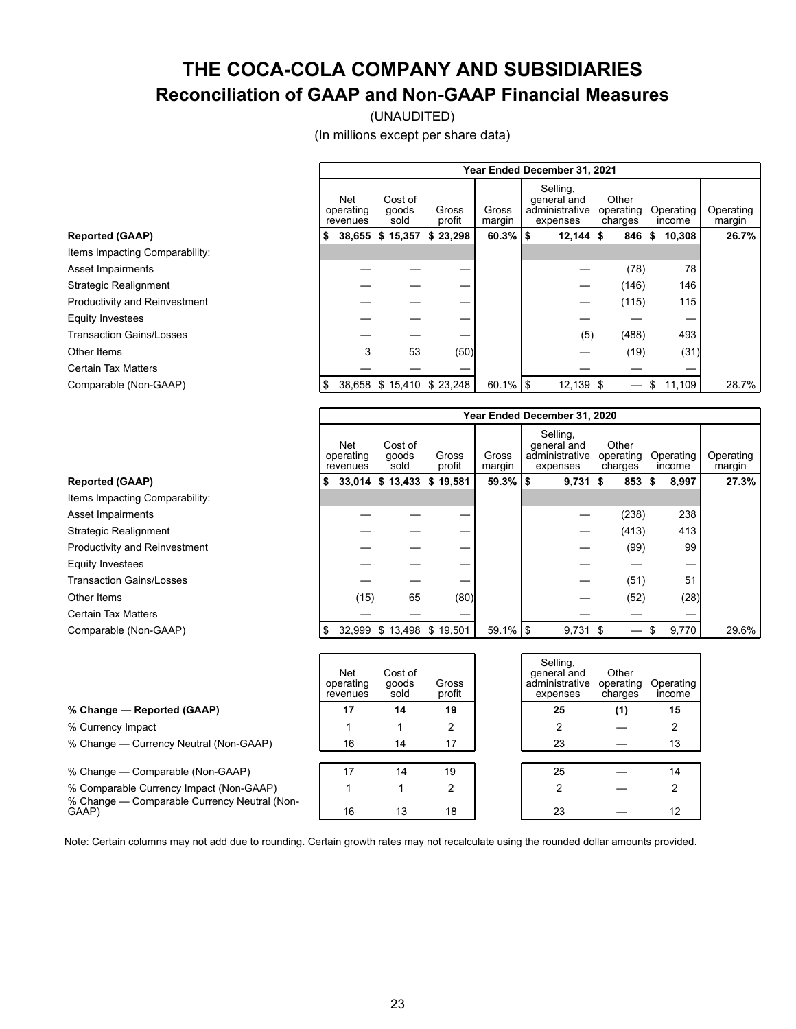(UNAUDITED)

(In millions except per share data)

|                                 | Year Ended December 31, 2021 |                          |                 |                 |                                                       |                               |                     |                     |  |
|---------------------------------|------------------------------|--------------------------|-----------------|-----------------|-------------------------------------------------------|-------------------------------|---------------------|---------------------|--|
|                                 | Net<br>operating<br>revenues | Cost of<br>goods<br>sold | Gross<br>profit | Gross<br>margin | Selling,<br>general and<br>administrative<br>expenses | Other<br>operating<br>charges | Operating<br>income | Operating<br>margin |  |
| <b>Reported (GAAP)</b>          | \$                           | 38,655 \$ 15,357         | \$23,298        | $60.3\%$ S      | $12,144$ \$                                           | 846                           | \$<br>10,308        | 26.7%               |  |
| Items Impacting Comparability:  |                              |                          |                 |                 |                                                       |                               |                     |                     |  |
| Asset Impairments               |                              |                          |                 |                 |                                                       | (78)                          | 78                  |                     |  |
| <b>Strategic Realignment</b>    |                              |                          |                 |                 |                                                       | (146)                         | 146                 |                     |  |
| Productivity and Reinvestment   |                              |                          |                 |                 |                                                       | (115)                         | 115                 |                     |  |
| <b>Equity Investees</b>         |                              |                          |                 |                 |                                                       |                               |                     |                     |  |
| <b>Transaction Gains/Losses</b> |                              |                          |                 |                 | (5)                                                   | (488)                         | 493                 |                     |  |
| Other Items                     | 3                            | 53                       | (50)            |                 |                                                       | (19)                          | (31)                |                     |  |
| <b>Certain Tax Matters</b>      |                              |                          |                 |                 |                                                       |                               |                     |                     |  |
| Comparable (Non-GAAP)           | \$                           | 38,658 \$15,410          | \$23,248        | $60.1\%$ \\$    | $12,139$ \$                                           | $\overline{\phantom{0}}$      | \$<br>11,109        | 28.7%               |  |
|                                 |                              |                          |                 |                 |                                                       |                               |                     |                     |  |
|                                 |                              |                          |                 |                 | Year Ended December 31, 2020                          |                               |                     |                     |  |
|                                 | Net<br>operating<br>revenues | Cost of<br>goods<br>sold | Gross<br>profit | Gross<br>margin | Selling,<br>general and<br>administrative<br>expenses | Other<br>operating<br>charges | Operating<br>income | Operating<br>margin |  |
| <b>Reported (GAAP)</b>          | \$                           | 33,014 \$13,433          | \$19,581        | 59.3%   \$      | $9,731$ \$                                            | 853                           | \$<br>8,997         | 27.3%               |  |
| Items Impacting Comparability:  |                              |                          |                 |                 |                                                       |                               |                     |                     |  |
| Asset Impairments               |                              |                          |                 |                 |                                                       | (238)                         | 238                 |                     |  |
| <b>Strategic Realignment</b>    |                              |                          |                 |                 |                                                       | (413)                         | 413                 |                     |  |

#### **Reported (GAA**

| Items Impacting Comparability:                                                                                                         |                              |                          |                          |              |                                                       |                               |                     |       |
|----------------------------------------------------------------------------------------------------------------------------------------|------------------------------|--------------------------|--------------------------|--------------|-------------------------------------------------------|-------------------------------|---------------------|-------|
| Asset Impairments                                                                                                                      |                              |                          |                          |              |                                                       | (238)                         | 238                 |       |
| <b>Strategic Realignment</b>                                                                                                           |                              |                          |                          |              |                                                       | (413)                         | 413                 |       |
| Productivity and Reinvestment                                                                                                          |                              |                          |                          |              |                                                       | (99)                          | 99                  |       |
| <b>Equity Investees</b>                                                                                                                |                              |                          |                          |              |                                                       |                               |                     |       |
| <b>Transaction Gains/Losses</b>                                                                                                        |                              |                          |                          |              |                                                       | (51)                          | 51                  |       |
| Other Items                                                                                                                            | (15)                         | 65                       | (80)                     |              |                                                       | (52)                          | (28)                |       |
| <b>Certain Tax Matters</b>                                                                                                             |                              |                          |                          |              |                                                       |                               |                     |       |
| Comparable (Non-GAAP)                                                                                                                  | 5                            |                          | 32,999 \$13,498 \$19,501 | $59.1\%$ \\$ | $9,731$ \$                                            | $\overline{\phantom{0}}$      | 9,770<br>\$         | 29.6% |
|                                                                                                                                        | Net<br>operating<br>revenues | Cost of<br>goods<br>sold | Gross<br>profit          |              | Selling,<br>general and<br>administrative<br>expenses | Other<br>operating<br>charges | Operating<br>income |       |
| % Change - Reported (GAAP)                                                                                                             | 17                           | 14                       | 19                       |              | 25                                                    | (1)                           | 15                  |       |
| % Currency Impact                                                                                                                      |                              |                          | 2                        |              | 2                                                     |                               | 2                   |       |
| % Change — Currency Neutral (Non-GAAP)                                                                                                 | 16                           | 14                       | 17                       |              | 23                                                    |                               | 13                  |       |
| % Change — Comparable (Non-GAAP)                                                                                                       | 17                           | 14                       | 19                       |              | 25                                                    |                               | 14                  |       |
| % Comparable Currency Impact (Non-GAAP)<br>% Change - Comparable Currency Neutral (Non-                                                |                              | 1                        | 2                        |              | 2                                                     |                               | 2                   |       |
| GAAP)                                                                                                                                  | 16                           | 13                       | 18                       |              | 23                                                    |                               | 12                  |       |
| Note: Certain columns may not add due to rounding. Certain growth rates may not recalculate using the rounded dollar amounts provided. |                              |                          |                          |              |                                                       |                               |                     |       |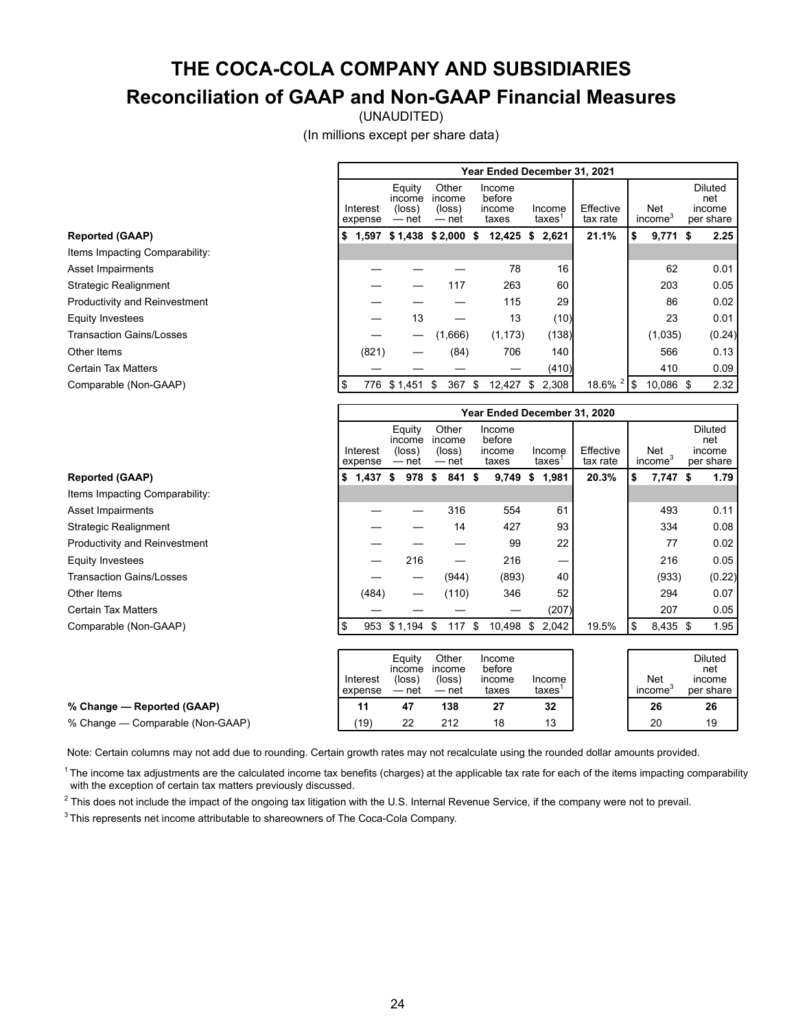**THE COCA-COLA COMPANY AND SUBSIDIARIES**

## **Reconciliation of GAAP and Non-GAAP Financial Measures**

(UNAUDITED)

(In millions except per share data)

Ē

|                                 | Year Ended December 31, 2021 |                                              |                                    |                                     |                              |                       |     |                                   |                                              |        |
|---------------------------------|------------------------------|----------------------------------------------|------------------------------------|-------------------------------------|------------------------------|-----------------------|-----|-----------------------------------|----------------------------------------------|--------|
|                                 | Interest<br>expense          | Equity<br>income<br>$(\text{loss})$<br>— net | Other<br>income<br>(loss)<br>— net | Income<br>before<br>income<br>taxes | Income<br>taxes <sup>1</sup> | Effective<br>tax rate |     | Net<br>income <sup>3</sup>        | <b>Diluted</b><br>net<br>income<br>per share |        |
| <b>Reported (GAAP)</b>          |                              | $$1,597$ $$1,438$                            | $$2,000$ \$                        | 12,425 \$ 2,621                     |                              | 21.1%                 | \$  | $9,771$ \$                        |                                              | 2.25   |
| Items Impacting Comparability:  |                              |                                              |                                    |                                     |                              |                       |     |                                   |                                              |        |
| <b>Asset Impairments</b>        |                              |                                              |                                    | 78                                  | 16                           |                       |     | 62                                |                                              | 0.01   |
| <b>Strategic Realignment</b>    |                              |                                              | 117                                | 263                                 | 60                           |                       |     | 203                               |                                              | 0.05   |
| Productivity and Reinvestment   |                              |                                              |                                    | 115                                 | 29                           |                       |     | 86                                |                                              | 0.02   |
| <b>Equity Investees</b>         |                              | 13                                           |                                    | 13                                  | (10)                         |                       |     | 23                                |                                              | 0.01   |
| <b>Transaction Gains/Losses</b> |                              |                                              | (1,666)                            | (1, 173)                            | (138)                        |                       |     | (1,035)                           |                                              | (0.24) |
| Other Items                     | (821)                        |                                              | (84)                               | 706                                 | 140                          |                       |     | 566                               |                                              | 0.13   |
| <b>Certain Tax Matters</b>      |                              |                                              |                                    |                                     | (410)                        |                       |     | 410                               |                                              | 0.09   |
| Comparable (Non-GAAP)           | Ι\$                          | 776 \$1,451                                  | \$                                 | 367 \$ 12,427 \$ 2,308              |                              | 18.6% <sup>2</sup>    | Ι\$ | 10,086 \$                         |                                              | 2.32   |
|                                 |                              |                                              |                                    |                                     |                              |                       |     |                                   |                                              |        |
|                                 |                              |                                              | Other                              | Year Ended December 31, 2020        |                              |                       |     |                                   |                                              |        |
|                                 |                              |                                              |                                    | Income                              |                              |                       |     |                                   | <b>Diluted</b>                               |        |
|                                 | Interest<br>expense          | Equity<br>income<br>(loss)<br>— net          | income<br>(loss)<br>— net          | before<br>income<br>taxes           | Income<br>taxes $1$          | Effective<br>tax rate |     | Net                               | net<br>income<br>per share                   |        |
| <b>Reported (GAAP)</b>          | $$1.437$ \$                  | 978                                          | \$<br>841 \$                       |                                     | 9,749 \$ 1,981               | 20.3%                 | \$  | income <sup>3</sup><br>$7,747$ \$ |                                              | 1.79   |
| Items Impacting Comparability:  |                              |                                              |                                    |                                     |                              |                       |     |                                   |                                              |        |
| Asset Impairments               |                              |                                              | 316                                | 554                                 | 61                           |                       |     | 493                               |                                              | 0.11   |
| <b>Strategic Realignment</b>    |                              |                                              | 14                                 | 427                                 | 93                           |                       |     | 334                               |                                              | 0.08   |
| Productivity and Reinvestment   |                              |                                              |                                    | 99                                  | 22                           |                       |     | 77                                |                                              | 0.02   |
| <b>Equity Investees</b>         |                              | 216                                          |                                    | 216                                 |                              |                       |     | 216                               |                                              | 0.05   |
| <b>Transaction Gains/Losses</b> |                              |                                              | (944)                              | (893)                               | 40                           |                       |     | (933)                             |                                              | (0.22) |
| Other Items                     | (484)                        |                                              | (110)                              | 346                                 | 52                           |                       |     | 294                               |                                              | 0.07   |
| <b>Certain Tax Matters</b>      |                              |                                              |                                    |                                     | (207)                        |                       |     | 207                               |                                              | 0.05   |
| Comparable (Non-GAAP)           | \$                           | 953 \$1,194 \$                               | 117S                               | 10,498 \$                           | 2,042                        | 19.5%                 | \$  | 8,435 \$                          |                                              | 1.95   |
|                                 |                              |                                              |                                    |                                     |                              |                       |     |                                   |                                              |        |

|                                  | ınterest<br>expense | (IOSS)<br>— net | (IOSS)<br>— net | income<br>taxes | income<br>taxes | <b>Net</b><br><i>income</i> | income<br>per share |
|----------------------------------|---------------------|-----------------|-----------------|-----------------|-----------------|-----------------------------|---------------------|
| % Change — Reported (GAAP)       |                     | 47              | 138             | 27              | 32              | 26                          | 26                  |
| % Change — Comparable (Non-GAAP) | (19)                | 22              | 212             |                 |                 | 20                          | 19                  |

Note: Certain columns may not add due to rounding. Certain growth rates may not recalculate using the rounded dollar amounts provided.

<sup>1</sup> The income tax adjustments are the calculated income tax benefits (charges) at the applicable tax rate for each of the items impacting comparability with the exception of certain tax matters previously discussed.

 $^2$  This does not include the impact of the ongoing tax litigation with the U.S. Internal Revenue Service, if the company were not to prevail.

<sup>3</sup> This represents net income attributable to shareowners of The Coca-Cola Company.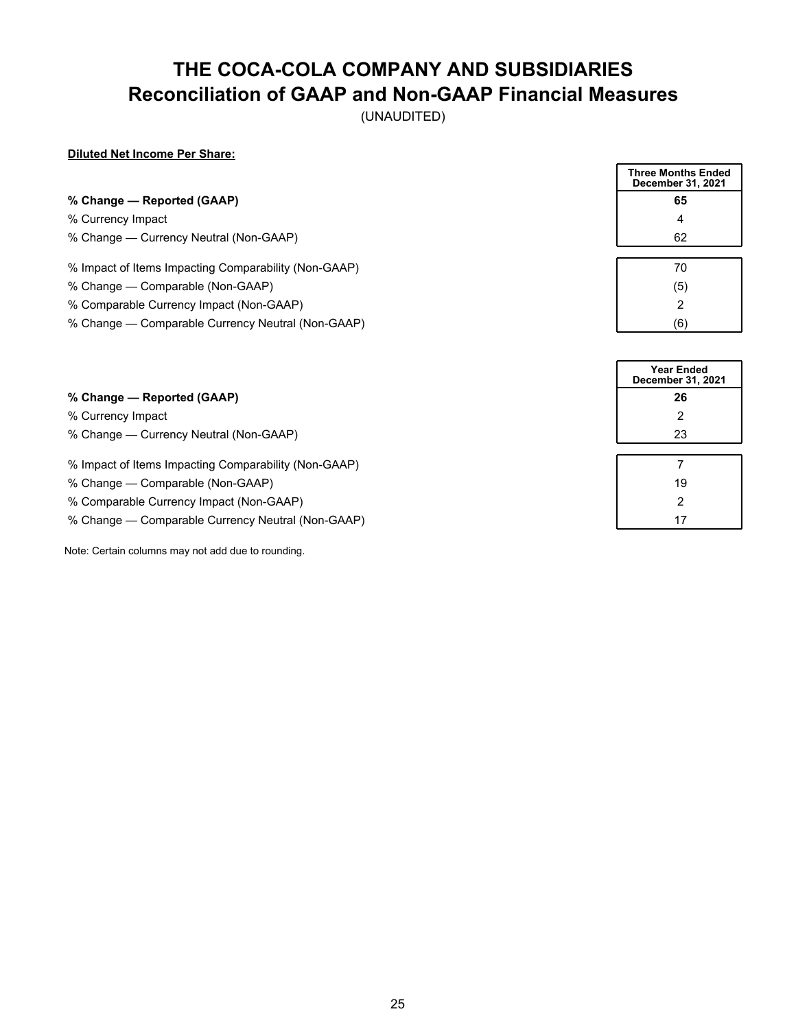(UNAUDITED)

### **Diluted Net Income Per Share:**

|                                                      | <b>Three Months Ended</b><br>December 31, 2021 |
|------------------------------------------------------|------------------------------------------------|
| % Change — Reported (GAAP)                           | 65                                             |
| % Currency Impact                                    | 4                                              |
| % Change — Currency Neutral (Non-GAAP)               | 62                                             |
|                                                      |                                                |
| % Impact of Items Impacting Comparability (Non-GAAP) | 70                                             |
| % Change — Comparable (Non-GAAP)                     | (5)                                            |
| % Comparable Currency Impact (Non-GAAP)              | 2                                              |
| % Change — Comparable Currency Neutral (Non-GAAP)    | (6)                                            |

|                                                      | <b>Year Ended</b><br>December 31, 2021 |
|------------------------------------------------------|----------------------------------------|
| % Change — Reported (GAAP)                           | 26                                     |
| % Currency Impact                                    | 2                                      |
| % Change — Currency Neutral (Non-GAAP)               | 23                                     |
| % Impact of Items Impacting Comparability (Non-GAAP) |                                        |
| % Change — Comparable (Non-GAAP)                     | 19                                     |
| % Comparable Currency Impact (Non-GAAP)              | $\mathfrak{p}$                         |
| % Change — Comparable Currency Neutral (Non-GAAP)    | 17                                     |

 $\Gamma$ 

٦

Note: Certain columns may not add due to rounding.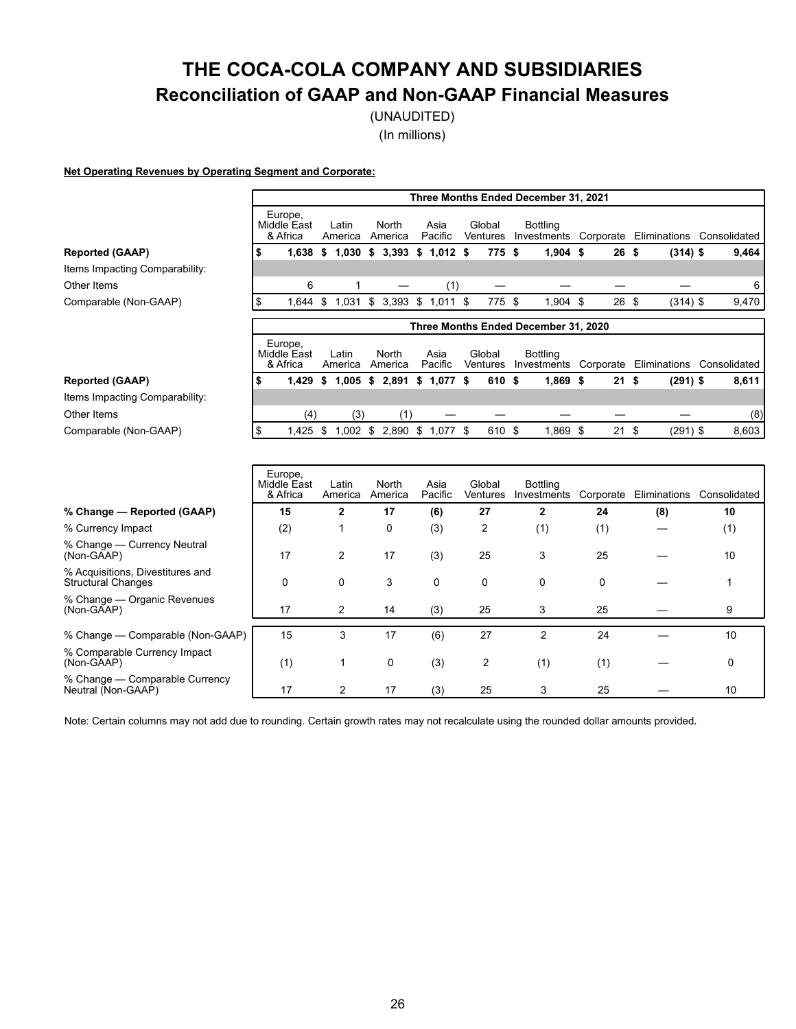(UNAUDITED)

(In millions)

**Net Operating Revenues by Operating Segment and Corporate:**

|                                                               |                                    |                                      |                            |                      |                    | Three Months Ended December 31, 2021     |             |                                    |                                                 |  |  |
|---------------------------------------------------------------|------------------------------------|--------------------------------------|----------------------------|----------------------|--------------------|------------------------------------------|-------------|------------------------------------|-------------------------------------------------|--|--|
|                                                               | Europe,<br>Middle East<br>& Africa | Latin<br>America                     | North<br>America           | Asia<br>Pacific      | Global<br>Ventures | <b>Bottling</b><br>Investments Corporate |             |                                    | Eliminations Consolidated                       |  |  |
| <b>Reported (GAAP)</b>                                        | \$<br>1.638                        | \$1,030                              | $$3,393$ $$1,012$ $$$      |                      | 775 \$             | $1,904$ \$                               | 26S         | $(314)$ \$                         | 9,464                                           |  |  |
| Items Impacting Comparability:                                |                                    |                                      |                            |                      |                    |                                          |             |                                    |                                                 |  |  |
| Other Items                                                   | 6                                  | 1                                    |                            | (1)                  |                    |                                          |             |                                    | 6                                               |  |  |
| Comparable (Non-GAAP)                                         | \$<br>1.644                        | $\mathbb{S}$<br>1,031                |                            | \$ 3,393 \$ 1,011 \$ | 775 \$             | $1,904$ \$                               | 26S         | $(314)$ \$                         | 9,470                                           |  |  |
|                                                               |                                    | Three Months Ended December 31, 2020 |                            |                      |                    |                                          |             |                                    |                                                 |  |  |
|                                                               | Europe,<br>Middle East<br>& Africa | Latin<br>America                     | North<br>America           | Asia<br>Pacific      | Global<br>Ventures | <b>Bottling</b>                          |             |                                    | Investments Corporate Eliminations Consolidated |  |  |
| <b>Reported (GAAP)</b>                                        | \$                                 | 1,429 \$ 1,005 \$ 2,891 \$ 1,077 \$  |                            |                      | 610 \$             | 1,869 \$                                 | $21$ \$     | $(291)$ \$                         | 8,611                                           |  |  |
| Items Impacting Comparability:                                |                                    |                                      |                            |                      |                    |                                          |             |                                    |                                                 |  |  |
| Other Items                                                   | (4)                                | (3)                                  | (1)                        |                      |                    |                                          |             |                                    | (8)                                             |  |  |
| Comparable (Non-GAAP)                                         | \$<br>$1,425$ \$                   |                                      | 1,002 \$ 2,890 \$ 1,077 \$ |                      | 610 \$             | 1,869 \$                                 | 21S         | $(291)$ \$                         | 8,603                                           |  |  |
|                                                               |                                    |                                      |                            |                      |                    |                                          |             |                                    |                                                 |  |  |
|                                                               | Europe,<br>Middle East<br>& Africa | Latin<br>America                     | North<br>America           | Asia<br>Pacific      | Global<br>Ventures | <b>Bottling</b>                          |             | Investments Corporate Eliminations | Consolidated                                    |  |  |
| % Change - Reported (GAAP)                                    | 15                                 | $\mathbf{2}$                         | 17                         | (6)                  | 27                 | $\mathbf{2}$                             | 24          | (8)                                | 10                                              |  |  |
| % Currency Impact                                             | (2)                                | 1                                    | 0                          | (3)                  | $\overline{c}$     | (1)                                      | (1)         |                                    | (1)                                             |  |  |
| % Change - Currency Neutral<br>(Non-GAAP)                     | 17                                 | 2                                    | 17                         | (3)                  | 25                 | 3                                        | 25          |                                    | 10                                              |  |  |
| % Acquisitions, Divestitures and<br><b>Structural Changes</b> | 0                                  | $\Omega$                             | 3                          | $\Omega$             | 0                  | 0                                        | $\mathbf 0$ |                                    | 1                                               |  |  |
| % Change — Organic Revenues<br>(Non-GAAP)                     | 17                                 | 2                                    | 14                         | (3)                  | 25                 | 3                                        | 25          |                                    | 9                                               |  |  |
| % Change — Comparable (Non-GAAP)                              | 15                                 | 3                                    | 17                         | (6)                  | 27                 | $\overline{2}$                           | 24          |                                    | 10                                              |  |  |
| % Comparable Currency Impact<br>(Non-GAAP)                    | (1)                                | 1                                    | 0                          | (3)                  | 2                  | (1)                                      | (1)         |                                    | 0                                               |  |  |
| % Change — Comparable Currency<br>Neutral (Non-GAAP)          | 17                                 | $\overline{2}$                       | 17                         | (3)                  | 25                 | 3                                        | 25          |                                    | 10                                              |  |  |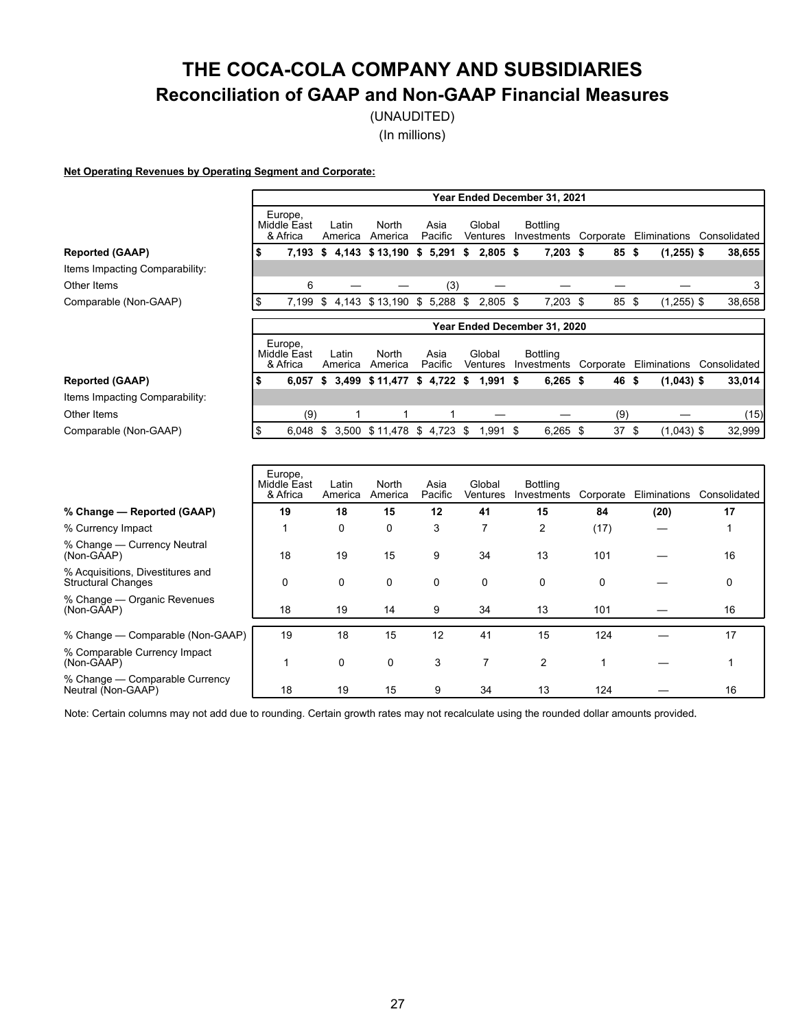(UNAUDITED)

(In millions)

**Net Operating Revenues by Operating Segment and Corporate:**

|                                                               |                                    |                                              |                                     |                 |                    |  | Year Ended December 31, 2021             |                 |                                                 |                                                 |  |  |
|---------------------------------------------------------------|------------------------------------|----------------------------------------------|-------------------------------------|-----------------|--------------------|--|------------------------------------------|-----------------|-------------------------------------------------|-------------------------------------------------|--|--|
|                                                               | Europe,<br>Middle East<br>& Africa | Latin<br>America                             | North<br>America                    | Asia<br>Pacific | Global<br>Ventures |  | <b>Bottling</b><br>Investments Corporate |                 |                                                 | Eliminations Consolidated                       |  |  |
| <b>Reported (GAAP)</b>                                        | \$<br>7.193                        | \$4.143                                      | \$13,190 \$5,291                    |                 | $$2,805$ \$        |  | $7,203$ \$                               | 85 \$           | $(1,255)$ \$                                    | 38,655                                          |  |  |
| Items Impacting Comparability:                                |                                    |                                              |                                     |                 |                    |  |                                          |                 |                                                 |                                                 |  |  |
| Other Items                                                   |                                    | 6                                            |                                     | (3)             |                    |  |                                          |                 |                                                 | 3                                               |  |  |
| Comparable (Non-GAAP)                                         | \$<br>7.199                        |                                              | \$4,143 \$13,190 \$5,288 \$2,805 \$ |                 |                    |  | $7.203$ \$                               | 85 \$           | $(1,255)$ \$                                    | 38,658                                          |  |  |
|                                                               |                                    | Year Ended December 31, 2020                 |                                     |                 |                    |  |                                          |                 |                                                 |                                                 |  |  |
|                                                               | Europe,<br>Middle East<br>& Africa | Latin<br>America                             | North<br>America                    | Asia<br>Pacific | Global<br>Ventures |  | <b>Bottling</b>                          |                 |                                                 | Investments Corporate Eliminations Consolidated |  |  |
| <b>Reported (GAAP)</b>                                        | \$                                 | 6,057 \$ 3,499 \$11,477 \$ 4,722 \$ 1,991 \$ |                                     |                 |                    |  | $6,265$ \$                               | 46 \$           | $(1,043)$ \$                                    | 33,014                                          |  |  |
| Items Impacting Comparability:                                |                                    |                                              |                                     |                 |                    |  |                                          |                 |                                                 |                                                 |  |  |
| Other Items                                                   |                                    | (9)<br>1                                     | 1                                   | 1               |                    |  |                                          | (9)             |                                                 | (15)                                            |  |  |
| Comparable (Non-GAAP)                                         | \$<br>$6.048$ \$                   |                                              | 3,500 \$11,478 \$4,723 \$           |                 | 1,991 \$           |  | $6,265$ \$                               | 37 <sup>5</sup> | $(1,043)$ \$                                    | 32,999                                          |  |  |
|                                                               |                                    |                                              |                                     |                 |                    |  |                                          |                 |                                                 |                                                 |  |  |
|                                                               | Europe,<br>Middle East<br>& Africa | Latin<br>America                             | North<br>America                    | Asia<br>Pacific | Global<br>Ventures |  | <b>Bottling</b>                          |                 | Investments Corporate Eliminations Consolidated |                                                 |  |  |
| % Change - Reported (GAAP)                                    | 19                                 | 18                                           | 15                                  | 12              | 41                 |  | 15                                       | 84              | (20)                                            | 17                                              |  |  |
| % Currency Impact                                             | 1                                  | $\Omega$                                     | 0                                   | 3               | $\overline{7}$     |  | $\overline{2}$                           | (17)            |                                                 | 1                                               |  |  |
| % Change - Currency Neutral<br>(Non-GAAP)                     | 18                                 | 19                                           | 15                                  | 9               | 34                 |  | 13                                       | 101             |                                                 | 16                                              |  |  |
| % Acquisitions, Divestitures and<br><b>Structural Changes</b> | $\Omega$                           | $\Omega$                                     | 0                                   | $\Omega$        | $\Omega$           |  | $\Omega$                                 | 0               |                                                 | $\Omega$                                        |  |  |
| % Change — Organic Revenues<br>(Non-GAAP)                     | 18                                 | 19                                           | 14                                  | 9               | 34                 |  | 13                                       | 101             |                                                 | 16                                              |  |  |
| % Change — Comparable (Non-GAAP)                              | 19                                 | 18                                           | 15                                  | 12              | 41                 |  | 15                                       | 124             |                                                 | 17                                              |  |  |
| % Comparable Currency Impact<br>(Non-GAAP)                    | $\mathbf{1}$                       | $\Omega$                                     | $\Omega$                            | 3               | $\overline{7}$     |  | $\overline{2}$                           | 1               |                                                 | 1                                               |  |  |
| % Change - Comparable Currency<br>Neutral (Non-GAAP)          | 18                                 | 19                                           | 15                                  | 9               | 34                 |  | 13                                       | 124             |                                                 | 16                                              |  |  |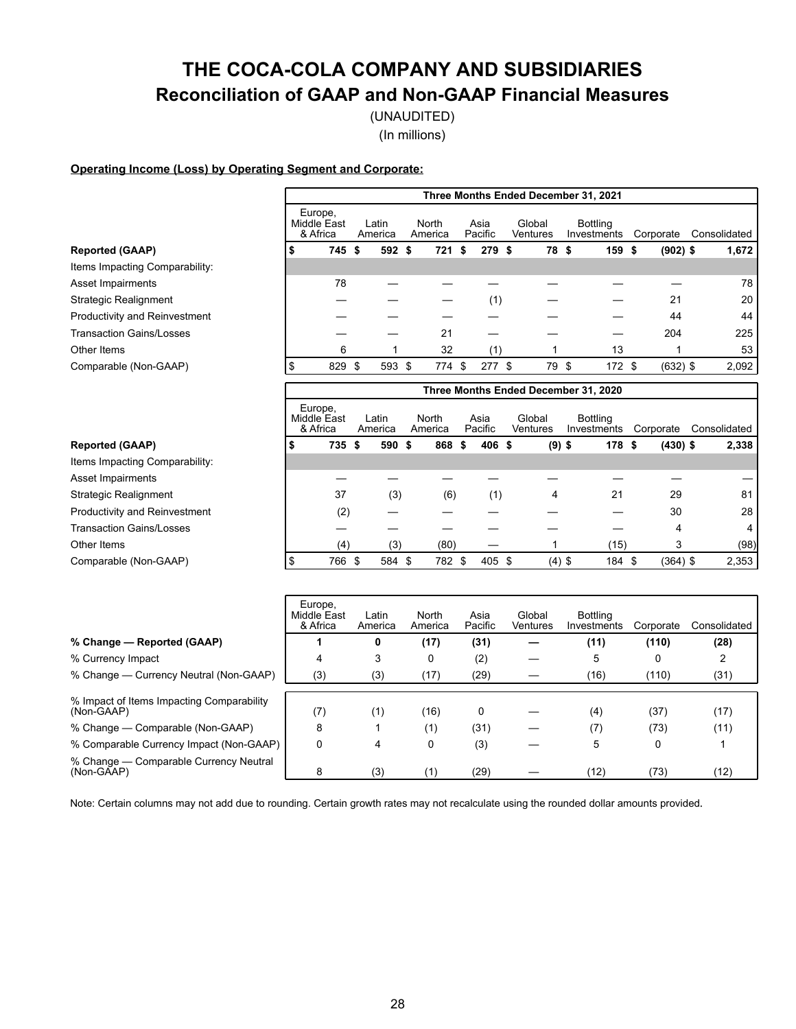(UNAUDITED)

(In millions)

### **Operating Income (Loss) by Operating Segment and Corporate:**

f

|                                      |                                    |                  |         |       |     |                 |                    | Three Months Ended December 31, 2021 |                    |              |
|--------------------------------------|------------------------------------|------------------|---------|-------|-----|-----------------|--------------------|--------------------------------------|--------------------|--------------|
|                                      | Europe,<br>Middle East<br>& Africa | Latin<br>America | America | North |     | Asia<br>Pacific | Global<br>Ventures | <b>Bottling</b><br>Investments       | Corporate          | Consolidated |
| <b>Reported (GAAP)</b>               | 745 \$                             | 592 \$           |         | 721   | \$  | 279 \$          |                    | 78 \$<br>159                         | $(902)$ \$<br>- \$ | 1,672        |
| Items Impacting Comparability:       |                                    |                  |         |       |     |                 |                    |                                      |                    |              |
| Asset Impairments                    | 78                                 |                  |         |       |     |                 |                    |                                      |                    | 78           |
| Strategic Realignment                |                                    |                  |         |       |     | (1)             |                    |                                      | 21                 | 20           |
| <b>Productivity and Reinvestment</b> |                                    |                  |         |       |     |                 |                    |                                      | 44                 | 44           |
| <b>Transaction Gains/Losses</b>      |                                    |                  |         | 21    |     |                 |                    |                                      | 204                | 225          |
| Other Items                          | 6                                  |                  |         | 32    |     | (1)             |                    | 13                                   |                    | 53           |
| Comparable (Non-GAAP)                | 829 \$                             | 593 \$           |         | 774   | -\$ | 277S            |                    | 79 \$<br>172 \$                      | $(632)$ \$         | 2,092        |

|                                 |                                    |     |                  |        |                  |      |                 |                    | Three Months Ended December 31, 2020 |                  |              |
|---------------------------------|------------------------------------|-----|------------------|--------|------------------|------|-----------------|--------------------|--------------------------------------|------------------|--------------|
|                                 | Europe,<br>Middle East<br>& Africa |     | Latin<br>America |        | North<br>America |      | Asia<br>Pacific | Global<br>Ventures | <b>Bottling</b><br>Investments       | Corporate        | Consolidated |
| <b>Reported (GAAP)</b>          |                                    | 735 | - \$             | 590 \$ | 868              | - \$ | 406 \$          | $(9)$ \$           | 178                                  | $(430)$ \$<br>\$ | 2,338        |
| Items Impacting Comparability:  |                                    |     |                  |        |                  |      |                 |                    |                                      |                  |              |
| Asset Impairments               |                                    |     |                  |        |                  |      |                 |                    |                                      |                  |              |
| <b>Strategic Realignment</b>    |                                    | 37  |                  | (3)    | (6)              |      | (1)             | 4                  | 21                                   | 29               | 81           |
| Productivity and Reinvestment   |                                    | (2) |                  |        |                  |      |                 |                    |                                      | 30               | 28           |
| <b>Transaction Gains/Losses</b> |                                    |     |                  |        |                  |      |                 |                    |                                      | 4                | 4            |
| Other Items                     |                                    | (4) |                  | (3)    | (80)             |      |                 |                    | (15)                                 | 3                | (98)         |
| Comparable (Non-GAAP)           |                                    | 766 | -\$              | 584 \$ | 782 \$           |      | 405 \$          | $(4)$ \$           | 184 \$                               | $(364)$ \$       | 2,353        |

|                                                         | Europe,<br>Middle East<br>& Africa | Latin<br>America | North<br>America | Asia<br>Pacific | Global<br>Ventures | <b>Bottling</b><br>Investments | Corporate | Consolidated |
|---------------------------------------------------------|------------------------------------|------------------|------------------|-----------------|--------------------|--------------------------------|-----------|--------------|
| % Change — Reported (GAAP)                              |                                    | 0                | (17)             | (31)            |                    | (11)                           | (110)     | (28)         |
| % Currency Impact                                       | 4                                  | 3                | 0                | (2)             |                    | 5                              | 0         | 2            |
| % Change — Currency Neutral (Non-GAAP)                  | (3)                                | (3)              | (17)             | (29)            |                    | (16)                           | (110)     | (31)         |
| % Impact of Items Impacting Comparability<br>(Non-GAAP) | (7)                                | (1)              | (16)             | $\Omega$        |                    | (4)                            | (37)      | (17)         |
| % Change — Comparable (Non-GAAP)                        | 8                                  |                  | (1)              | (31)            |                    | (7)                            | (73)      | (11)         |
| % Comparable Currency Impact (Non-GAAP)                 | $\Omega$                           | 4                |                  | (3)             |                    | 5                              | 0         |              |
| % Change — Comparable Currency Neutral<br>(Non-GAAP)    | Я                                  | (3)              | (1)              | (29)            |                    | (12)                           | (73)      | (12)         |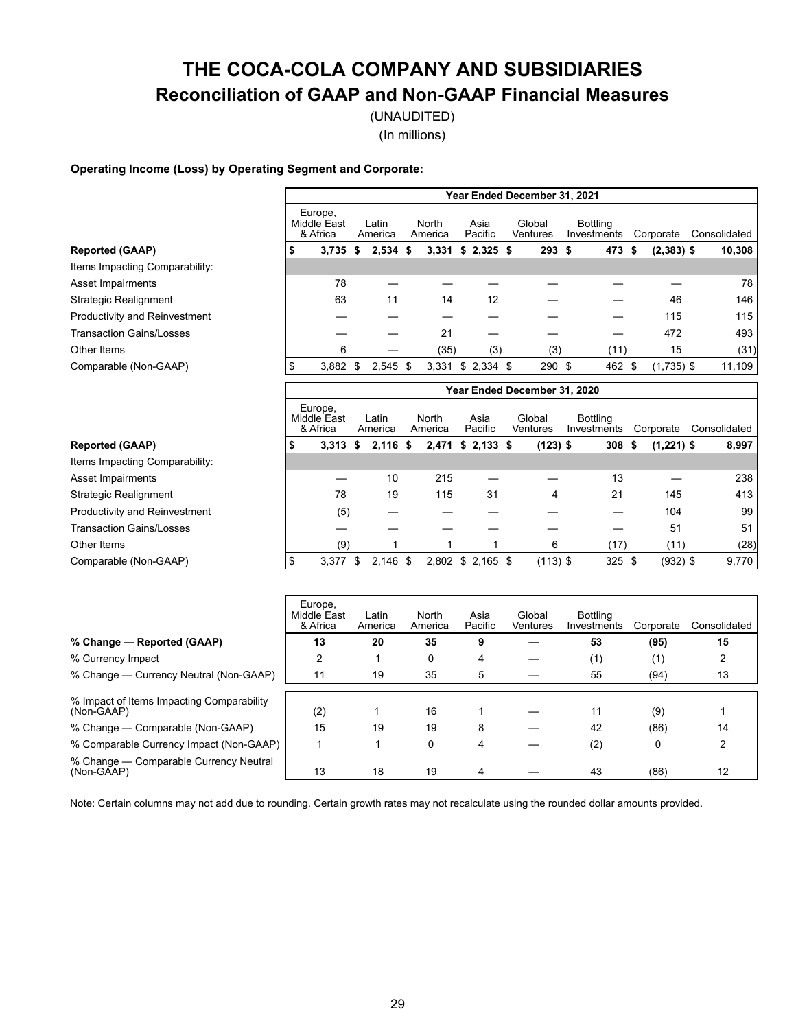(UNAUDITED)

(In millions)

### **Operating Income (Loss) by Operating Segment and Corporate:**

|                                 |                                    |     |                  |                  |                   | Year Ended December 31, 2021 |                                |                    |              |
|---------------------------------|------------------------------------|-----|------------------|------------------|-------------------|------------------------------|--------------------------------|--------------------|--------------|
|                                 | Europe,<br>Middle East<br>& Africa |     | Latin<br>America | North<br>America | Asia<br>Pacific   | Global<br>Ventures           | <b>Bottling</b><br>Investments | Corporate          | Consolidated |
| <b>Reported (GAAP)</b>          | 3.735                              | \$  | $2,534$ \$       | 3,331            | $$2,325$ \$       | $293$ \$                     | 473                            | $(2,383)$ \$<br>S. | 10,308       |
| Items Impacting Comparability:  |                                    |     |                  |                  |                   |                              |                                |                    |              |
| Asset Impairments               | 78                                 |     |                  |                  |                   |                              |                                |                    | 78           |
| Strategic Realignment           | 63                                 |     | 11               | 14               | 12                |                              |                                | 46                 | 146          |
| Productivity and Reinvestment   |                                    |     |                  |                  |                   |                              |                                | 115                | 115          |
| <b>Transaction Gains/Losses</b> |                                    |     |                  | 21               |                   |                              |                                | 472                | 493          |
| Other Items                     | 6                                  |     |                  | (35)             | (3)               | (3)                          | (11)                           | 15                 | (31)         |
| Comparable (Non-GAAP)           | 3.882                              | \$. | $2.545$ \$       |                  | 3.331 \$ 2.334 \$ | $290$ \$                     | 462 \$                         | $(1,735)$ \$       | 11,109       |
|                                 |                                    |     |                  |                  |                   | Vear Ended December 31, 2020 |                                |                    |              |

|                                 |   |                                    |                  |                  | Year Ended December 31, 2020 |                    |                                |                    |              |
|---------------------------------|---|------------------------------------|------------------|------------------|------------------------------|--------------------|--------------------------------|--------------------|--------------|
|                                 |   | Europe,<br>Middle East<br>& Africa | Latin<br>America | North<br>America | Asia<br>Pacific              | Global<br>Ventures | <b>Bottling</b><br>Investments | Corporate          | Consolidated |
| <b>Reported (GAAP)</b>          | Φ | $3,313$ \$                         | $2,116$ \$       |                  | 2,471 \$ 2,133 \$            | $(123)$ \$         | 308                            | $(1,221)$ \$<br>\$ | 8,997        |
| Items Impacting Comparability:  |   |                                    |                  |                  |                              |                    |                                |                    |              |
| Asset Impairments               |   |                                    | 10               | 215              |                              |                    | 13                             |                    | 238          |
| <b>Strategic Realignment</b>    |   | 78                                 | 19               | 115              | 31                           | 4                  | 21                             | 145                | 413          |
| Productivity and Reinvestment   |   | (5)                                |                  |                  |                              |                    |                                | 104                | 99           |
| <b>Transaction Gains/Losses</b> |   |                                    |                  |                  |                              |                    |                                | 51                 | 51           |
| Other Items                     |   | (9)                                |                  |                  |                              | 6                  | (17)                           | (11)               | (28)         |
| Comparable (Non-GAAP)           |   | 3.377                              | \$<br>$2.146$ \$ |                  | 2,802 \$ 2,165 \$            | $(113)$ \$         | 325                            | $(932)$ \$<br>\$   | 9,770        |

|                                                         | Europe,<br><b>Middle East</b><br>& Africa | Latin<br>America | North<br>America | Asia<br>Pacific | Global<br>Ventures | <b>Bottling</b><br>Investments | Corporate | Consolidated |
|---------------------------------------------------------|-------------------------------------------|------------------|------------------|-----------------|--------------------|--------------------------------|-----------|--------------|
| % Change — Reported (GAAP)                              | 13                                        | 20               | 35               | 9               |                    | 53                             | (95)      | 15           |
| % Currency Impact                                       | 2                                         |                  | 0                | 4               |                    | (1)                            | (1)       |              |
| % Change — Currency Neutral (Non-GAAP)                  | 11                                        | 19               | 35               | 5               |                    | 55                             | (94)      | 13           |
| % Impact of Items Impacting Comparability<br>(Non-GAAP) | (2)                                       |                  | 16               |                 |                    | 11                             | (9)       |              |
| % Change — Comparable (Non-GAAP)                        | 15                                        | 19               | 19               | 8               |                    | 42                             | (86)      | 14           |
| % Comparable Currency Impact (Non-GAAP)                 |                                           |                  | $\mathbf{0}$     | 4               |                    | (2)                            | 0         | 2            |
| % Change — Comparable Currency Neutral<br>(Non-GAAP)    | 13                                        | 18               | 19               | 4               |                    | 43                             | (86)      | 12           |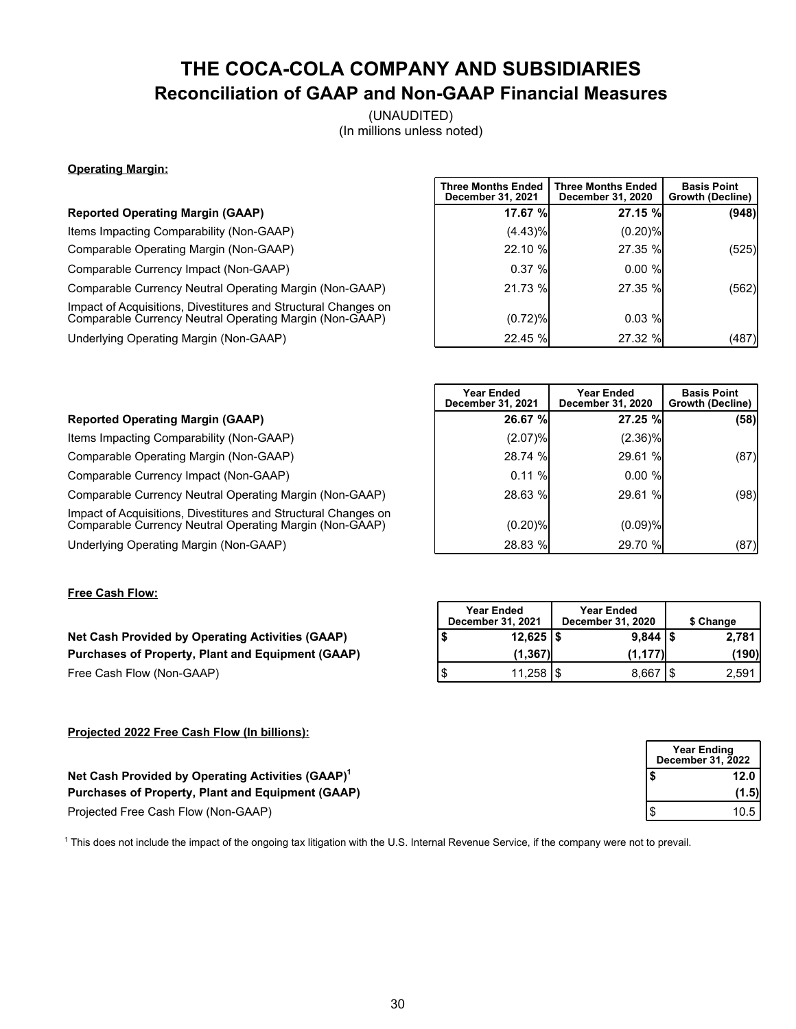(UNAUDITED) (In millions unless noted)

### **Operating Margin:**

|                                                                                                                           | <b>Three Months Ended</b><br>December 31, 2021 | <b>Three Months Ended</b><br><b>December 31, 2020</b> | <b>Basis Point</b><br><b>Growth (Decline)</b> |
|---------------------------------------------------------------------------------------------------------------------------|------------------------------------------------|-------------------------------------------------------|-----------------------------------------------|
| <b>Reported Operating Margin (GAAP)</b>                                                                                   | 17.67 %l                                       | 27.15 %                                               | (948)                                         |
| Items Impacting Comparability (Non-GAAP)                                                                                  | $(4.43)\%$                                     | $(0.20)\%$                                            |                                               |
| Comparable Operating Margin (Non-GAAP)                                                                                    | 22.10 %                                        | 27.35 %                                               | (525)                                         |
| Comparable Currency Impact (Non-GAAP)                                                                                     | $0.37 \%$                                      | $0.00 \%$                                             |                                               |
| Comparable Currency Neutral Operating Margin (Non-GAAP)                                                                   | 21.73 %                                        | 27.35 %                                               | (562)                                         |
| Impact of Acquisitions, Divestitures and Structural Changes on<br>Comparable Currency Neutral Operating Margin (Non-GAAP) | $(0.72)\%$                                     | $0.03$ %                                              |                                               |
| Underlying Operating Margin (Non-GAAP)                                                                                    | 22.45 %                                        | 27.32 %                                               | (487)                                         |
|                                                                                                                           |                                                |                                                       |                                               |

|                                                                                                                           | Year Ended<br>December 31, 2021 | Year Ended<br>December 31, 2020 | <b>Basis Point</b><br><b>Growth (Decline)</b> |
|---------------------------------------------------------------------------------------------------------------------------|---------------------------------|---------------------------------|-----------------------------------------------|
| <b>Reported Operating Margin (GAAP)</b>                                                                                   | 26.67 %                         | 27.25 %                         | (58)                                          |
| Items Impacting Comparability (Non-GAAP)                                                                                  | $(2.07)\%$                      | $(2.36)\%$                      |                                               |
| Comparable Operating Margin (Non-GAAP)                                                                                    | 28.74 %                         | 29.61 %                         | (87)                                          |
| Comparable Currency Impact (Non-GAAP)                                                                                     | $0.11 \%$                       | $0.00 \%$                       |                                               |
| Comparable Currency Neutral Operating Margin (Non-GAAP)                                                                   | 28.63 %                         | 29.61 %                         | (98)                                          |
| Impact of Acquisitions, Divestitures and Structural Changes on<br>Comparable Currency Neutral Operating Margin (Non-GAAP) | $(0.20)\%$                      | $(0.09)$ %                      |                                               |
| Underlying Operating Margin (Non-GAAP)                                                                                    | 28.83 %                         | 29.70 %                         | (87)                                          |

### **Free Cash Flow:**

|                                                         |     | <b>December 31, 2021</b> | <b>December 31, 2020</b> | \$ Change |
|---------------------------------------------------------|-----|--------------------------|--------------------------|-----------|
| <b>Net Cash Provided by Operating Activities (GAAP)</b> |     | $12.625$ S               | $9,844$   \$             | 2.781     |
| Purchases of Property, Plant and Equipment (GAAP)       |     | (1,367)                  | (1,177)                  | (190)     |
| Free Cash Flow (Non-GAAP)                               | 1\$ | 11,258   \$              | $8,667$ $\frac{1}{3}$    | 2,591     |

**Year Ended** 

**Year Ended** 

**Projected 2022 Free Cash Flow (In billions):**

**Net Cash Provided by Operating Activities (GAAP)<sup>1</sup> Purchases of Property, Plant and Equipment (GAAP)** 

Projected Free Cash Flow (Non-GAAP)

<sup>1</sup> This does not include the impact of the ongoing tax litigation with the U.S. Internal Revenue Service, if the company were not to prevail.

| Year Ending<br>December 31, 2022 |
|----------------------------------|
| \$<br>12.0                       |
| (1.5)                            |
| 10.5                             |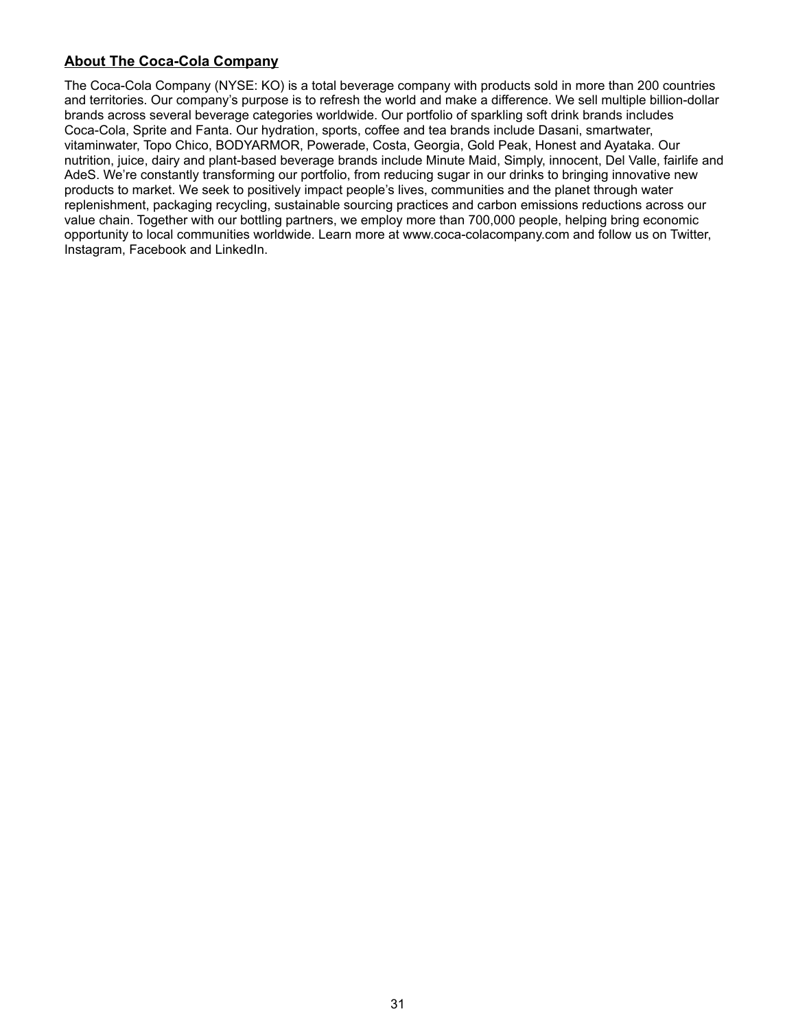### **About The Coca-Cola Company**

The Coca-Cola Company (NYSE: KO) is a total beverage company with products sold in more than 200 countries and territories. Our company's purpose is to refresh the world and make a difference. We sell multiple billion-dollar brands across several beverage categories worldwide. Our portfolio of sparkling soft drink brands includes Coca-Cola, Sprite and Fanta. Our hydration, sports, coffee and tea brands include Dasani, smartwater, vitaminwater, Topo Chico, BODYARMOR, Powerade, Costa, Georgia, Gold Peak, Honest and Ayataka. Our nutrition, juice, dairy and plant-based beverage brands include Minute Maid, Simply, innocent, Del Valle, fairlife and AdeS. We're constantly transforming our portfolio, from reducing sugar in our drinks to bringing innovative new products to market. We seek to positively impact people's lives, communities and the planet through water replenishment, packaging recycling, sustainable sourcing practices and carbon emissions reductions across our value chain. Together with our bottling partners, we employ more than 700,000 people, helping bring economic opportunity to local communities worldwide. Learn more at www.coca-colacompany.com and follow us on Twitter, Instagram, Facebook and LinkedIn.